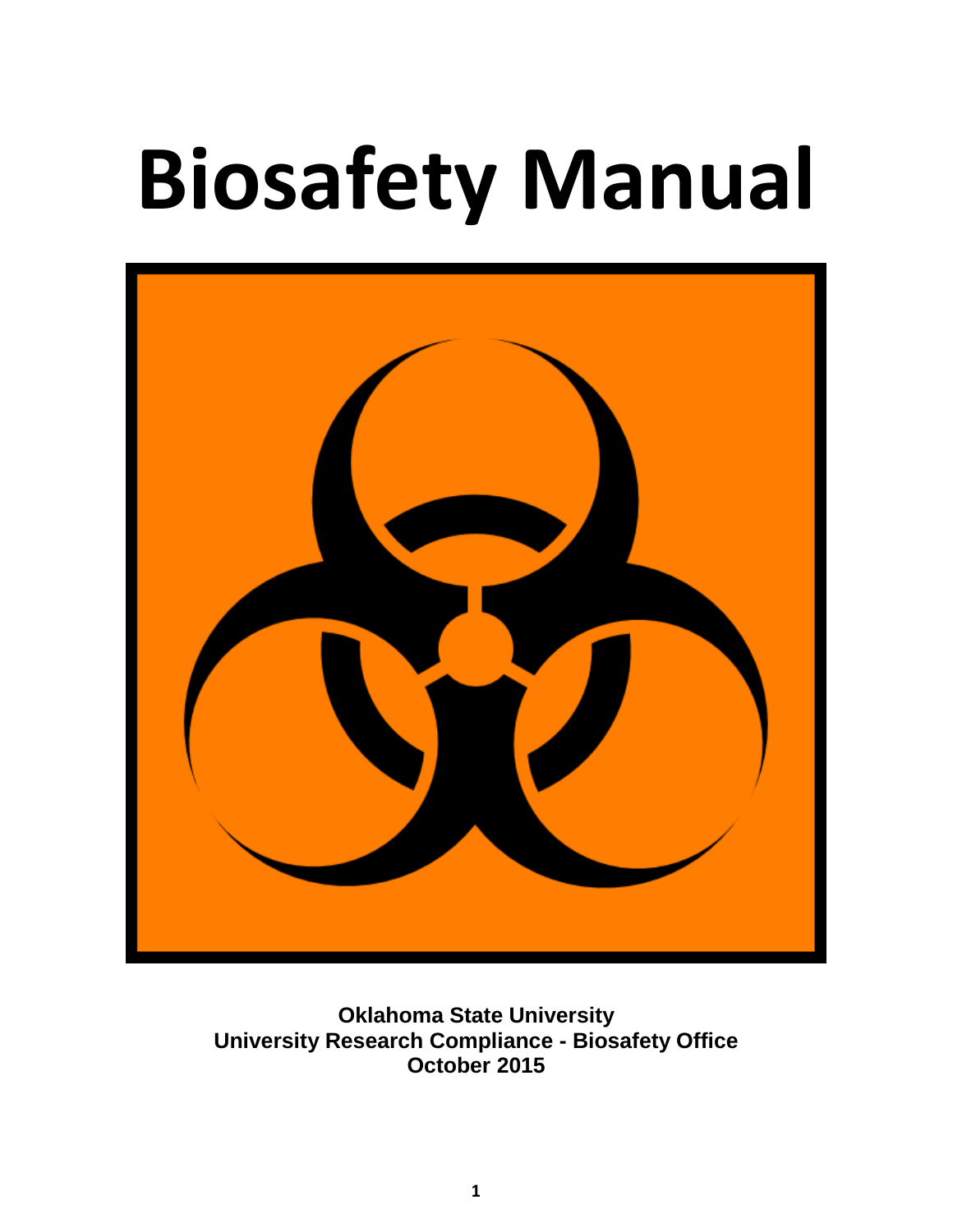# **Biosafety Manual**



**Oklahoma State University University Research Compliance - Biosafety Office October 2015**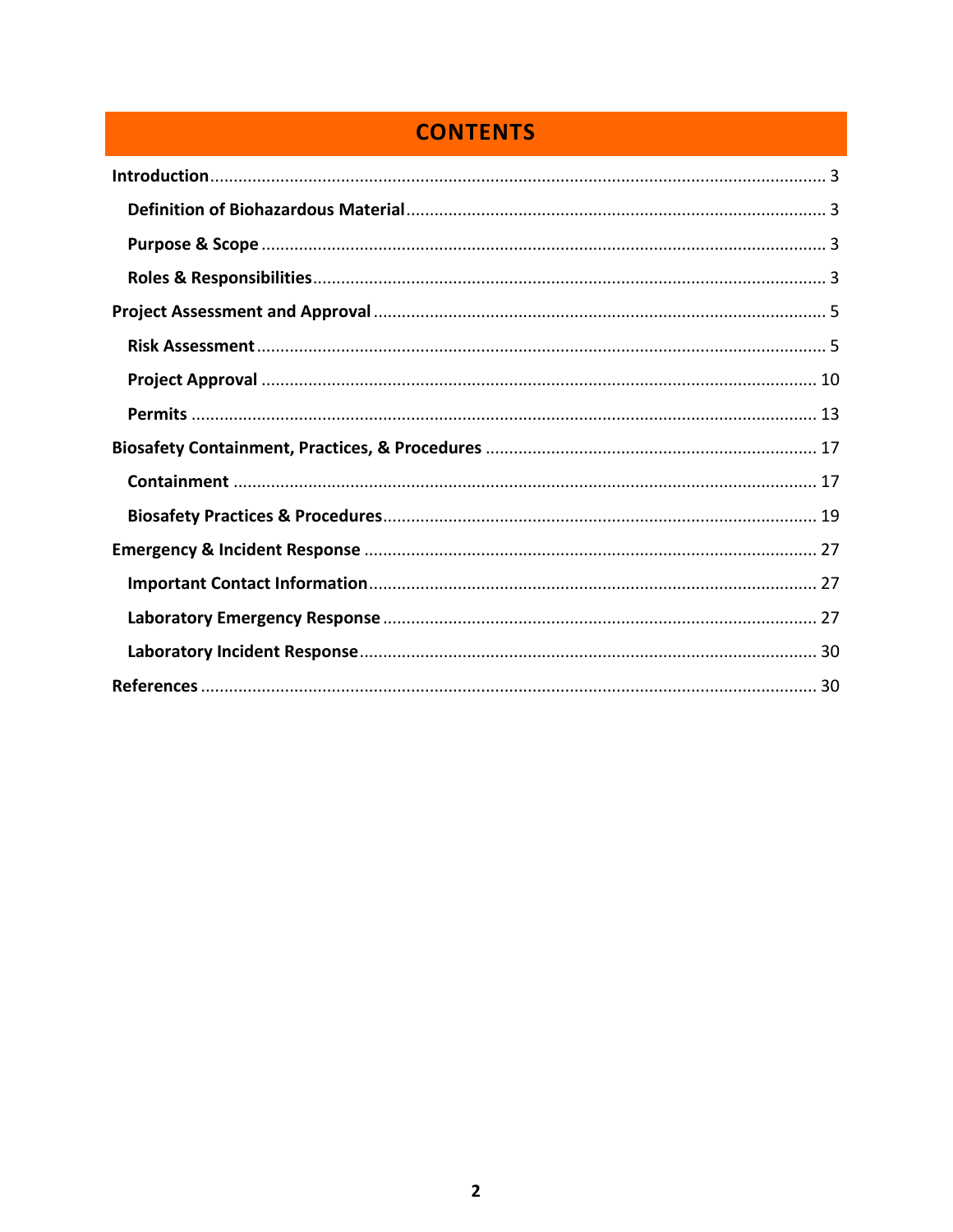# **CONTENTS**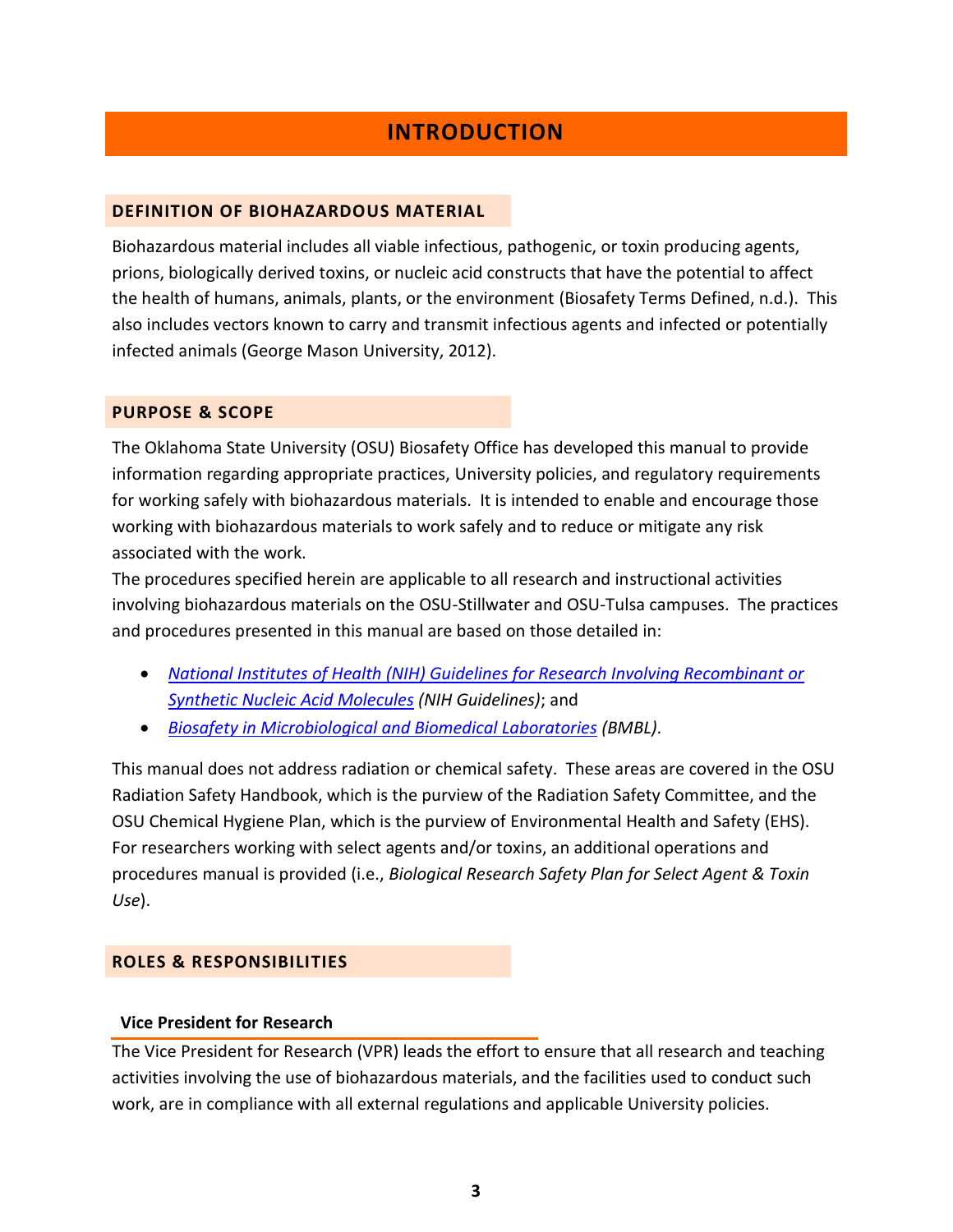# **INTRODUCTION**

## <span id="page-2-1"></span><span id="page-2-0"></span>**DEFINITION OF BIOHAZARDOUS MATERIAL**

Biohazardous material includes all viable infectious, pathogenic, or toxin producing agents, prions, biologically derived toxins, or nucleic acid constructs that have the potential to affect the health of humans, animals, plants, or the environment (Biosafety Terms Defined, n.d.). This also includes vectors known to carry and transmit infectious agents and infected or potentially infected animals (George Mason University, 2012).

## <span id="page-2-2"></span>**PURPOSE & SCOPE**

The Oklahoma State University (OSU) Biosafety Office has developed this manual to provide information regarding appropriate practices, University policies, and regulatory requirements for working safely with biohazardous materials. It is intended to enable and encourage those working with biohazardous materials to work safely and to reduce or mitigate any risk associated with the work.

The procedures specified herein are applicable to all research and instructional activities involving biohazardous materials on the OSU-Stillwater and OSU-Tulsa campuses. The practices and procedures presented in this manual are based on those detailed in:

- *[National Institutes of Health \(NIH\) Guidelines for Research Involving Recombinant or](http://osp.od.nih.gov/office-biotechnology-activities/biosafety/nih-guidelines)  [Synthetic Nucleic Acid](http://osp.od.nih.gov/office-biotechnology-activities/biosafety/nih-guidelines) Molecules (NIH Guidelines)*; and
- *[Biosafety in Microbiological and Biomedical Laboratories](http://www.cdc.gov/biosafety/publications/bmbl5/) (BMBL)*.

This manual does not address radiation or chemical safety. These areas are covered in the OSU Radiation Safety Handbook, which is the purview of the Radiation Safety Committee, and the OSU Chemical Hygiene Plan, which is the purview of Environmental Health and Safety (EHS). For researchers working with select agents and/or toxins, an additional operations and procedures manual is provided (i.e., *Biological Research Safety Plan for Select Agent & Toxin Use*).

## <span id="page-2-3"></span>**ROLES & RESPONSIBILITIES**

## **Vice President for Research**

The Vice President for Research (VPR) leads the effort to ensure that all research and teaching activities involving the use of biohazardous materials, and the facilities used to conduct such work, are in compliance with all external regulations and applicable University policies.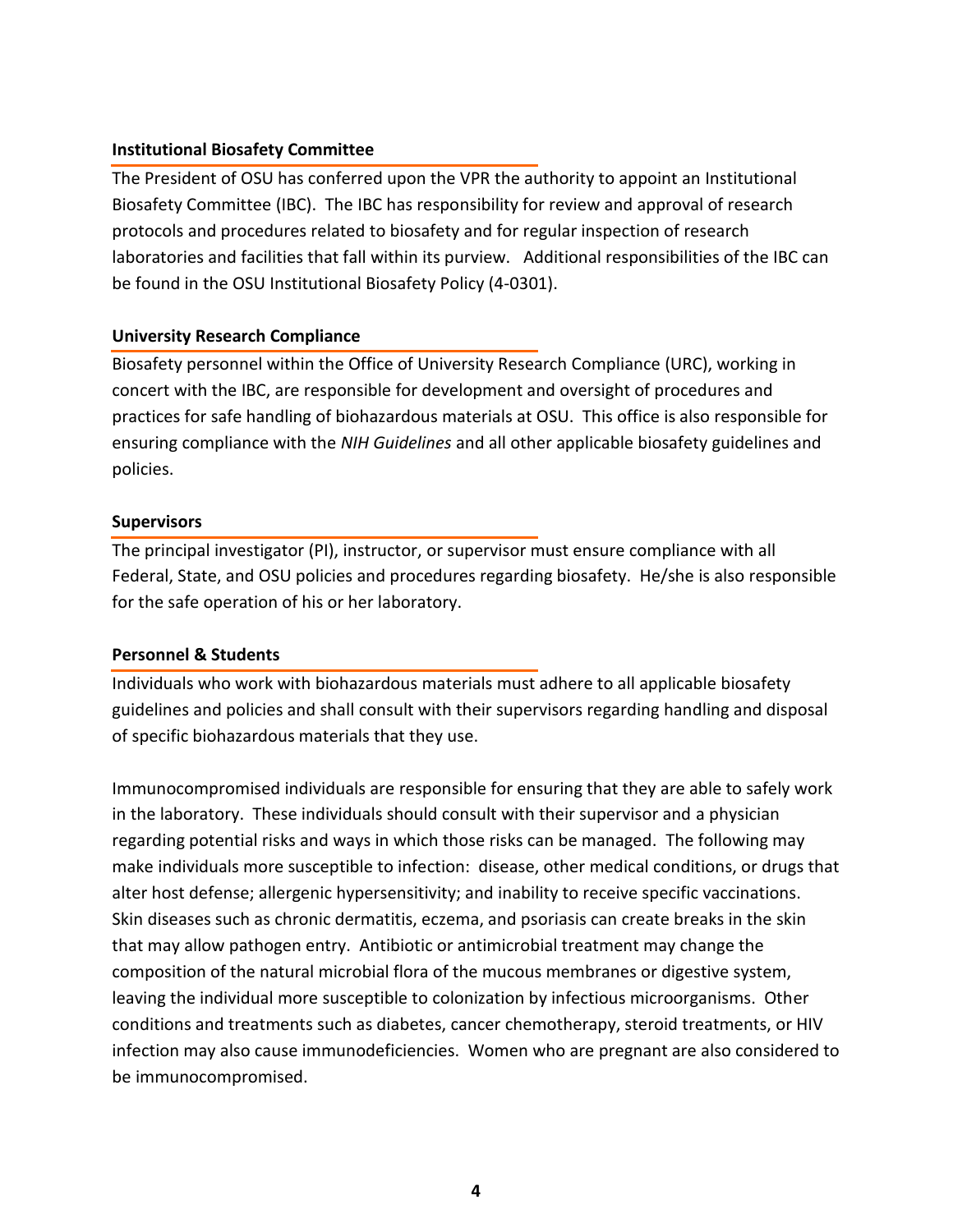## **Institutional Biosafety Committee**

The President of OSU has conferred upon the VPR the authority to appoint an Institutional Biosafety Committee (IBC). The IBC has responsibility for review and approval of research protocols and procedures related to biosafety and for regular inspection of research laboratories and facilities that fall within its purview. Additional responsibilities of the IBC can be found in the OSU Institutional Biosafety Policy (4-0301).

## **University Research Compliance**

Biosafety personnel within the Office of University Research Compliance (URC), working in concert with the IBC, are responsible for development and oversight of procedures and practices for safe handling of biohazardous materials at OSU. This office is also responsible for ensuring compliance with the *NIH Guidelines* and all other applicable biosafety guidelines and policies.

## **Supervisors**

The principal investigator (PI), instructor, or supervisor must ensure compliance with all Federal, State, and OSU policies and procedures regarding biosafety. He/she is also responsible for the safe operation of his or her laboratory.

# **Personnel & Students**

Individuals who work with biohazardous materials must adhere to all applicable biosafety guidelines and policies and shall consult with their supervisors regarding handling and disposal of specific biohazardous materials that they use.

Immunocompromised individuals are responsible for ensuring that they are able to safely work in the laboratory. These individuals should consult with their supervisor and a physician regarding potential risks and ways in which those risks can be managed. The following may make individuals more susceptible to infection: disease, other medical conditions, or drugs that alter host defense; allergenic hypersensitivity; and inability to receive specific vaccinations. Skin diseases such as chronic dermatitis, eczema, and psoriasis can create breaks in the skin that may allow pathogen entry. Antibiotic or antimicrobial treatment may change the composition of the natural microbial flora of the mucous membranes or digestive system, leaving the individual more susceptible to colonization by infectious microorganisms. Other conditions and treatments such as diabetes, cancer chemotherapy, steroid treatments, or HIV infection may also cause immunodeficiencies. Women who are pregnant are also considered to be immunocompromised.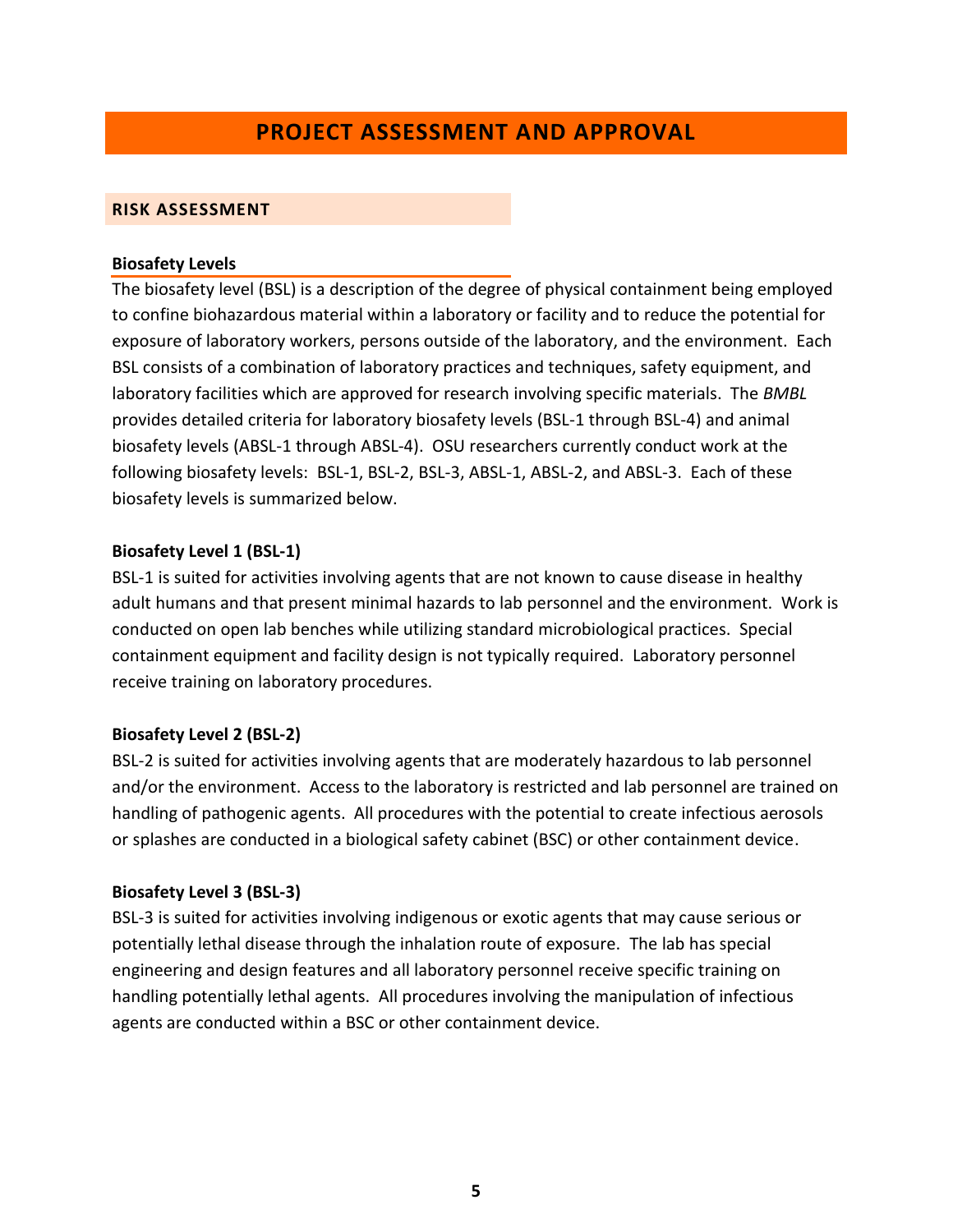# **PROJECT ASSESSMENT AND APPROVAL**

## <span id="page-4-1"></span><span id="page-4-0"></span>**RISK ASSESSMENT**

#### **Biosafety Levels**

The biosafety level (BSL) is a description of the degree of physical containment being employed to confine biohazardous material within a laboratory or facility and to reduce the potential for exposure of laboratory workers, persons outside of the laboratory, and the environment. Each BSL consists of a combination of laboratory practices and techniques, safety equipment, and laboratory facilities which are approved for research involving specific materials. The *BMBL* provides detailed criteria for laboratory biosafety levels (BSL-1 through BSL-4) and animal biosafety levels (ABSL-1 through ABSL-4). OSU researchers currently conduct work at the following biosafety levels: BSL-1, BSL-2, BSL-3, ABSL-1, ABSL-2, and ABSL-3. Each of these biosafety levels is summarized below.

## **Biosafety Level 1 (BSL-1)**

BSL-1 is suited for activities involving agents that are not known to cause disease in healthy adult humans and that present minimal hazards to lab personnel and the environment. Work is conducted on open lab benches while utilizing standard microbiological practices. Special containment equipment and facility design is not typically required. Laboratory personnel receive training on laboratory procedures.

## **Biosafety Level 2 (BSL-2)**

BSL-2 is suited for activities involving agents that are moderately hazardous to lab personnel and/or the environment. Access to the laboratory is restricted and lab personnel are trained on handling of pathogenic agents. All procedures with the potential to create infectious aerosols or splashes are conducted in a biological safety cabinet (BSC) or other containment device.

## **Biosafety Level 3 (BSL-3)**

BSL-3 is suited for activities involving indigenous or exotic agents that may cause serious or potentially lethal disease through the inhalation route of exposure. The lab has special engineering and design features and all laboratory personnel receive specific training on handling potentially lethal agents. All procedures involving the manipulation of infectious agents are conducted within a BSC or other containment device.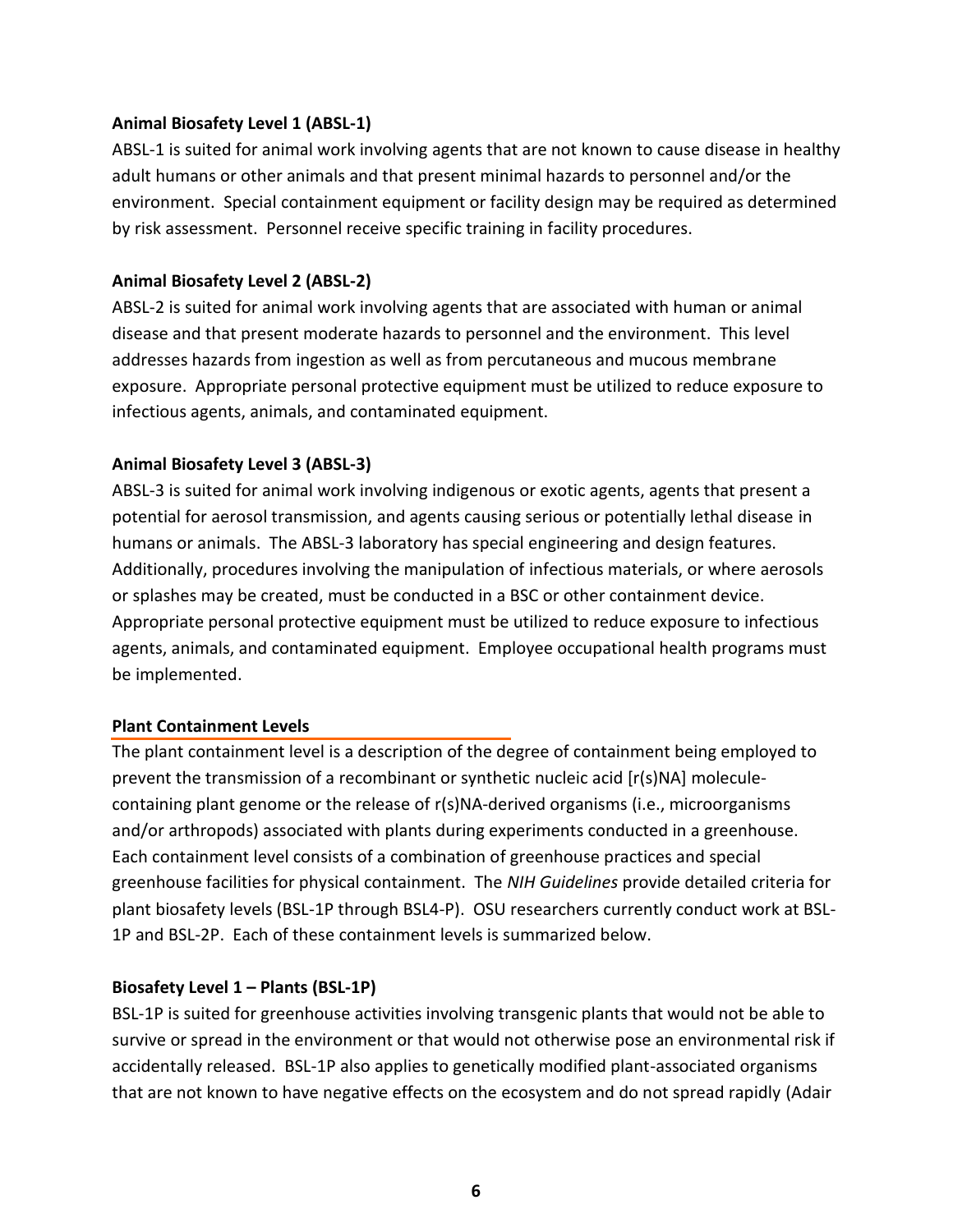## **Animal Biosafety Level 1 (ABSL-1)**

ABSL-1 is suited for animal work involving agents that are not known to cause disease in healthy adult humans or other animals and that present minimal hazards to personnel and/or the environment. Special containment equipment or facility design may be required as determined by risk assessment. Personnel receive specific training in facility procedures.

## **Animal Biosafety Level 2 (ABSL-2)**

ABSL-2 is suited for animal work involving agents that are associated with human or animal disease and that present moderate hazards to personnel and the environment. This level addresses hazards from ingestion as well as from percutaneous and mucous membrane exposure. Appropriate personal protective equipment must be utilized to reduce exposure to infectious agents, animals, and contaminated equipment.

## **Animal Biosafety Level 3 (ABSL-3)**

ABSL-3 is suited for animal work involving indigenous or exotic agents, agents that present a potential for aerosol transmission, and agents causing serious or potentially lethal disease in humans or animals. The ABSL-3 laboratory has special engineering and design features. Additionally, procedures involving the manipulation of infectious materials, or where aerosols or splashes may be created, must be conducted in a BSC or other containment device. Appropriate personal protective equipment must be utilized to reduce exposure to infectious agents, animals, and contaminated equipment. Employee occupational health programs must be implemented.

## **Plant Containment Levels**

The plant containment level is a description of the degree of containment being employed to prevent the transmission of a recombinant or synthetic nucleic acid [r(s)NA] moleculecontaining plant genome or the release of r(s)NA-derived organisms (i.e., microorganisms and/or arthropods) associated with plants during experiments conducted in a greenhouse. Each containment level consists of a combination of greenhouse practices and special greenhouse facilities for physical containment. The *NIH Guidelines* provide detailed criteria for plant biosafety levels (BSL-1P through BSL4-P). OSU researchers currently conduct work at BSL-1P and BSL-2P. Each of these containment levels is summarized below.

## **Biosafety Level 1 – Plants (BSL-1P)**

BSL-1P is suited for greenhouse activities involving transgenic plants that would not be able to survive or spread in the environment or that would not otherwise pose an environmental risk if accidentally released. BSL-1P also applies to genetically modified plant-associated organisms that are not known to have negative effects on the ecosystem and do not spread rapidly (Adair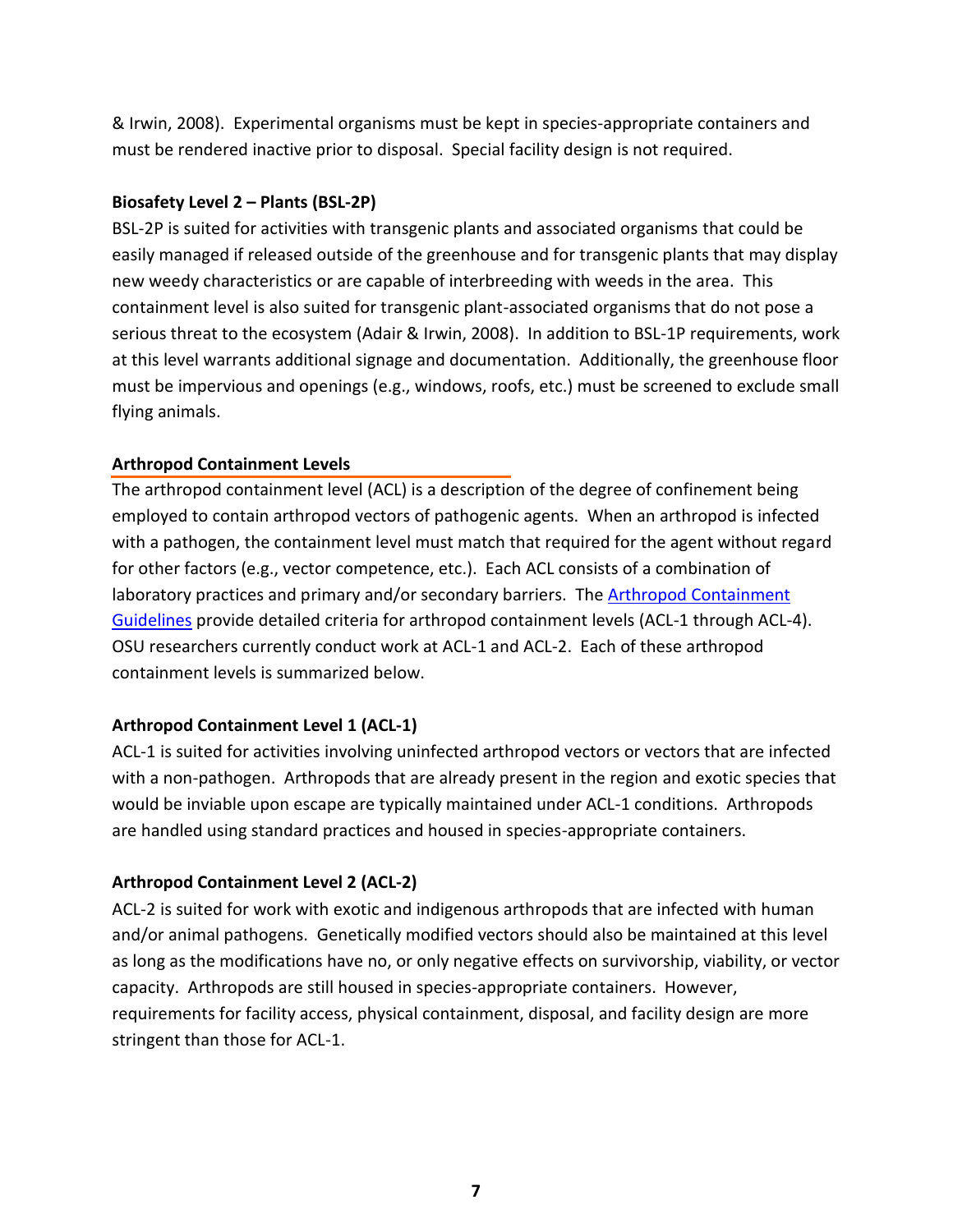& Irwin, 2008). Experimental organisms must be kept in species-appropriate containers and must be rendered inactive prior to disposal. Special facility design is not required.

## **Biosafety Level 2 – Plants (BSL-2P)**

BSL-2P is suited for activities with transgenic plants and associated organisms that could be easily managed if released outside of the greenhouse and for transgenic plants that may display new weedy characteristics or are capable of interbreeding with weeds in the area. This containment level is also suited for transgenic plant-associated organisms that do not pose a serious threat to the ecosystem (Adair & Irwin, 2008). In addition to BSL-1P requirements, work at this level warrants additional signage and documentation. Additionally, the greenhouse floor must be impervious and openings (e.g., windows, roofs, etc.) must be screened to exclude small flying animals.

## **Arthropod Containment Levels**

The arthropod containment level (ACL) is a description of the degree of confinement being employed to contain arthropod vectors of pathogenic agents. When an arthropod is infected with a pathogen, the containment level must match that required for the agent without regard for other factors (e.g., vector competence, etc.). Each ACL consists of a combination of laboratory practices and primary and/or secondary barriers. The [Arthropod Containment](http://online.liebertpub.com/doi/pdfplus/10.1089/153036603322163475)  [Guidelines](http://online.liebertpub.com/doi/pdfplus/10.1089/153036603322163475) provide detailed criteria for arthropod containment levels (ACL-1 through ACL-4). OSU researchers currently conduct work at ACL-1 and ACL-2. Each of these arthropod containment levels is summarized below.

# **Arthropod Containment Level 1 (ACL-1)**

ACL-1 is suited for activities involving uninfected arthropod vectors or vectors that are infected with a non-pathogen. Arthropods that are already present in the region and exotic species that would be inviable upon escape are typically maintained under ACL-1 conditions. Arthropods are handled using standard practices and housed in species-appropriate containers.

# **Arthropod Containment Level 2 (ACL-2)**

ACL-2 is suited for work with exotic and indigenous arthropods that are infected with human and/or animal pathogens. Genetically modified vectors should also be maintained at this level as long as the modifications have no, or only negative effects on survivorship, viability, or vector capacity. Arthropods are still housed in species-appropriate containers. However, requirements for facility access, physical containment, disposal, and facility design are more stringent than those for ACL-1.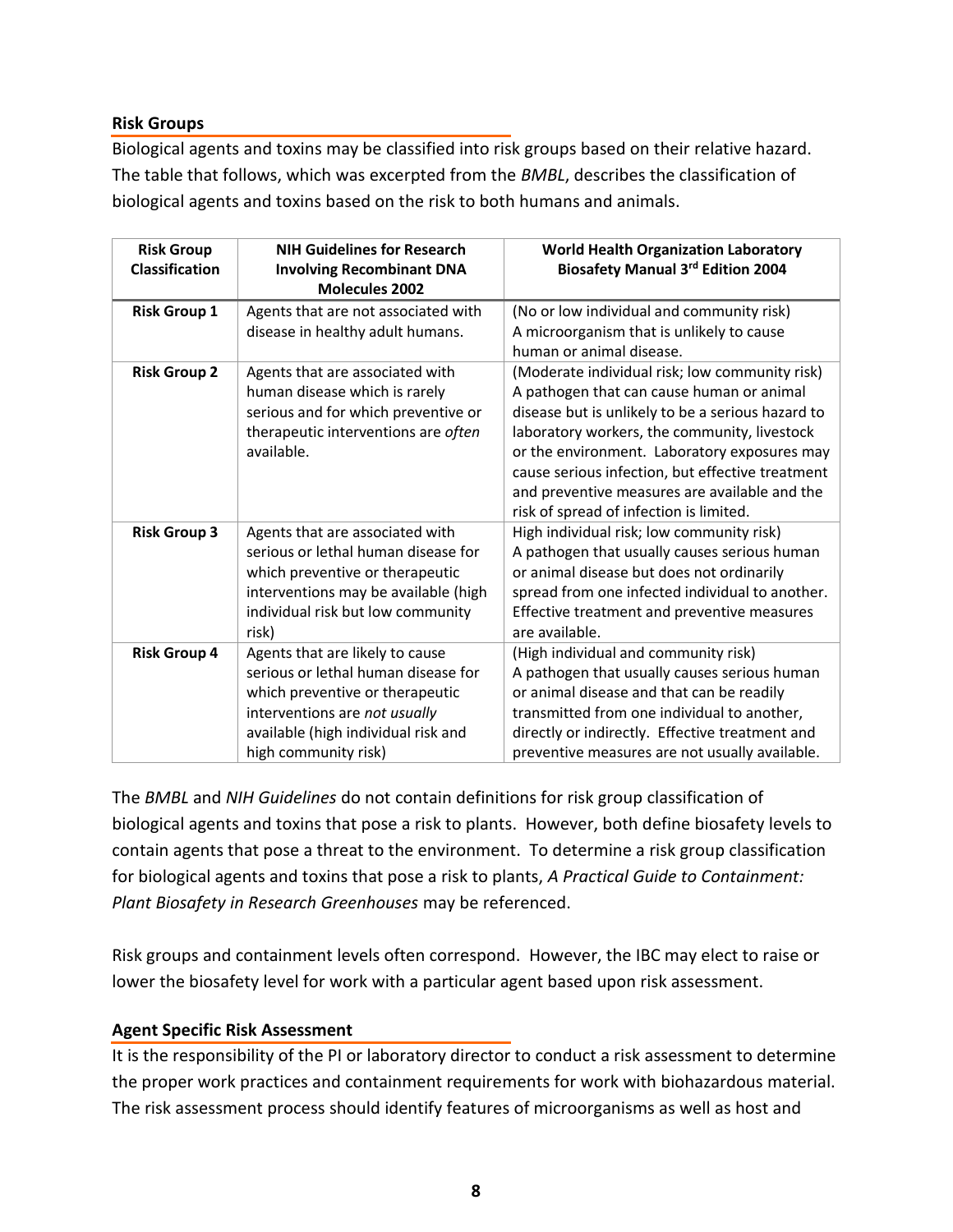## **Risk Groups**

Biological agents and toxins may be classified into risk groups based on their relative hazard. The table that follows, which was excerpted from the *BMBL*, describes the classification of biological agents and toxins based on the risk to both humans and animals.

| <b>Risk Group</b><br><b>Classification</b> | <b>NIH Guidelines for Research</b><br><b>Involving Recombinant DNA</b><br><b>Molecules 2002</b>                                                                                                           | <b>World Health Organization Laboratory</b><br><b>Biosafety Manual 3rd Edition 2004</b>                                                                                                                                                                                                                                                                                                          |
|--------------------------------------------|-----------------------------------------------------------------------------------------------------------------------------------------------------------------------------------------------------------|--------------------------------------------------------------------------------------------------------------------------------------------------------------------------------------------------------------------------------------------------------------------------------------------------------------------------------------------------------------------------------------------------|
| <b>Risk Group 1</b>                        | Agents that are not associated with<br>disease in healthy adult humans.                                                                                                                                   | (No or low individual and community risk)<br>A microorganism that is unlikely to cause<br>human or animal disease.                                                                                                                                                                                                                                                                               |
| <b>Risk Group 2</b>                        | Agents that are associated with<br>human disease which is rarely<br>serious and for which preventive or<br>therapeutic interventions are often<br>available.                                              | (Moderate individual risk; low community risk)<br>A pathogen that can cause human or animal<br>disease but is unlikely to be a serious hazard to<br>laboratory workers, the community, livestock<br>or the environment. Laboratory exposures may<br>cause serious infection, but effective treatment<br>and preventive measures are available and the<br>risk of spread of infection is limited. |
| <b>Risk Group 3</b>                        | Agents that are associated with<br>serious or lethal human disease for<br>which preventive or therapeutic<br>interventions may be available (high<br>individual risk but low community<br>risk)           | High individual risk; low community risk)<br>A pathogen that usually causes serious human<br>or animal disease but does not ordinarily<br>spread from one infected individual to another.<br>Effective treatment and preventive measures<br>are available.                                                                                                                                       |
| <b>Risk Group 4</b>                        | Agents that are likely to cause<br>serious or lethal human disease for<br>which preventive or therapeutic<br>interventions are not usually<br>available (high individual risk and<br>high community risk) | (High individual and community risk)<br>A pathogen that usually causes serious human<br>or animal disease and that can be readily<br>transmitted from one individual to another,<br>directly or indirectly. Effective treatment and<br>preventive measures are not usually available.                                                                                                            |

The *BMBL* and *NIH Guidelines* do not contain definitions for risk group classification of biological agents and toxins that pose a risk to plants. However, both define biosafety levels to contain agents that pose a threat to the environment. To determine a risk group classification for biological agents and toxins that pose a risk to plants, *A Practical Guide to Containment: Plant Biosafety in Research Greenhouses* may be referenced.

Risk groups and containment levels often correspond. However, the IBC may elect to raise or lower the biosafety level for work with a particular agent based upon risk assessment.

## **Agent Specific Risk Assessment**

It is the responsibility of the PI or laboratory director to conduct a risk assessment to determine the proper work practices and containment requirements for work with biohazardous material. The risk assessment process should identify features of microorganisms as well as host and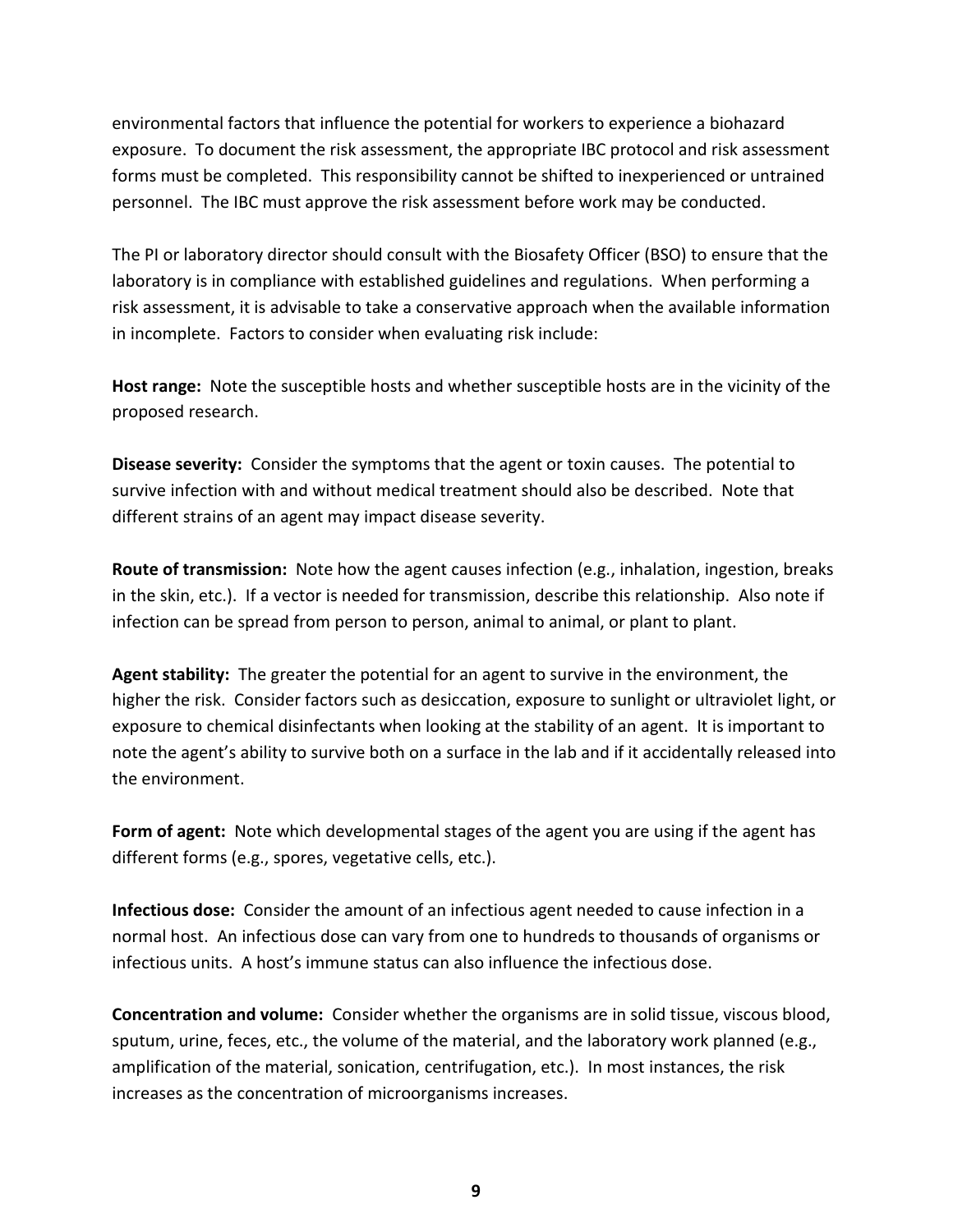environmental factors that influence the potential for workers to experience a biohazard exposure. To document the risk assessment, the appropriate IBC protocol and risk assessment forms must be completed. This responsibility cannot be shifted to inexperienced or untrained personnel. The IBC must approve the risk assessment before work may be conducted.

The PI or laboratory director should consult with the Biosafety Officer (BSO) to ensure that the laboratory is in compliance with established guidelines and regulations. When performing a risk assessment, it is advisable to take a conservative approach when the available information in incomplete. Factors to consider when evaluating risk include:

**Host range:** Note the susceptible hosts and whether susceptible hosts are in the vicinity of the proposed research.

**Disease severity:** Consider the symptoms that the agent or toxin causes. The potential to survive infection with and without medical treatment should also be described. Note that different strains of an agent may impact disease severity.

**Route of transmission:** Note how the agent causes infection (e.g., inhalation, ingestion, breaks in the skin, etc.). If a vector is needed for transmission, describe this relationship. Also note if infection can be spread from person to person, animal to animal, or plant to plant.

**Agent stability:** The greater the potential for an agent to survive in the environment, the higher the risk. Consider factors such as desiccation, exposure to sunlight or ultraviolet light, or exposure to chemical disinfectants when looking at the stability of an agent. It is important to note the agent's ability to survive both on a surface in the lab and if it accidentally released into the environment.

**Form of agent:** Note which developmental stages of the agent you are using if the agent has different forms (e.g., spores, vegetative cells, etc.).

**Infectious dose:** Consider the amount of an infectious agent needed to cause infection in a normal host. An infectious dose can vary from one to hundreds to thousands of organisms or infectious units. A host's immune status can also influence the infectious dose.

**Concentration and volume:** Consider whether the organisms are in solid tissue, viscous blood, sputum, urine, feces, etc., the volume of the material, and the laboratory work planned (e.g., amplification of the material, sonication, centrifugation, etc.). In most instances, the risk increases as the concentration of microorganisms increases.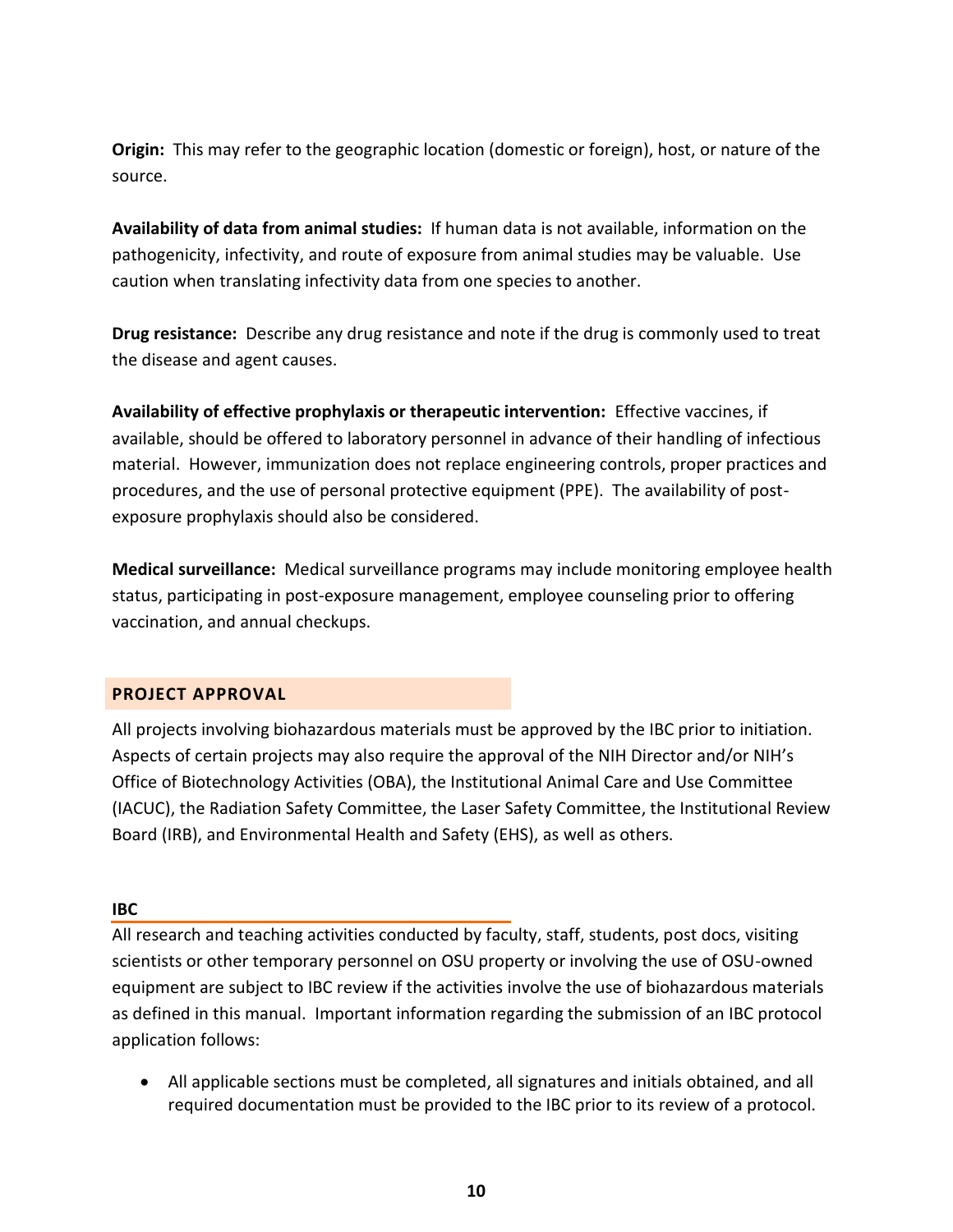**Origin:** This may refer to the geographic location (domestic or foreign), host, or nature of the source.

**Availability of data from animal studies:** If human data is not available, information on the pathogenicity, infectivity, and route of exposure from animal studies may be valuable. Use caution when translating infectivity data from one species to another.

**Drug resistance:** Describe any drug resistance and note if the drug is commonly used to treat the disease and agent causes.

**Availability of effective prophylaxis or therapeutic intervention:** Effective vaccines, if available, should be offered to laboratory personnel in advance of their handling of infectious material. However, immunization does not replace engineering controls, proper practices and procedures, and the use of personal protective equipment (PPE). The availability of postexposure prophylaxis should also be considered.

**Medical surveillance:** Medical surveillance programs may include monitoring employee health status, participating in post-exposure management, employee counseling prior to offering vaccination, and annual checkups.

# <span id="page-9-0"></span>**PROJECT APPROVAL**

All projects involving biohazardous materials must be approved by the IBC prior to initiation. Aspects of certain projects may also require the approval of the NIH Director and/or NIH's Office of Biotechnology Activities (OBA), the Institutional Animal Care and Use Committee (IACUC), the Radiation Safety Committee, the Laser Safety Committee, the Institutional Review Board (IRB), and Environmental Health and Safety (EHS), as well as others.

## **IBC**

All research and teaching activities conducted by faculty, staff, students, post docs, visiting scientists or other temporary personnel on OSU property or involving the use of OSU-owned equipment are subject to IBC review if the activities involve the use of biohazardous materials as defined in this manual. Important information regarding the submission of an IBC protocol application follows:

 All applicable sections must be completed, all signatures and initials obtained, and all required documentation must be provided to the IBC prior to its review of a protocol.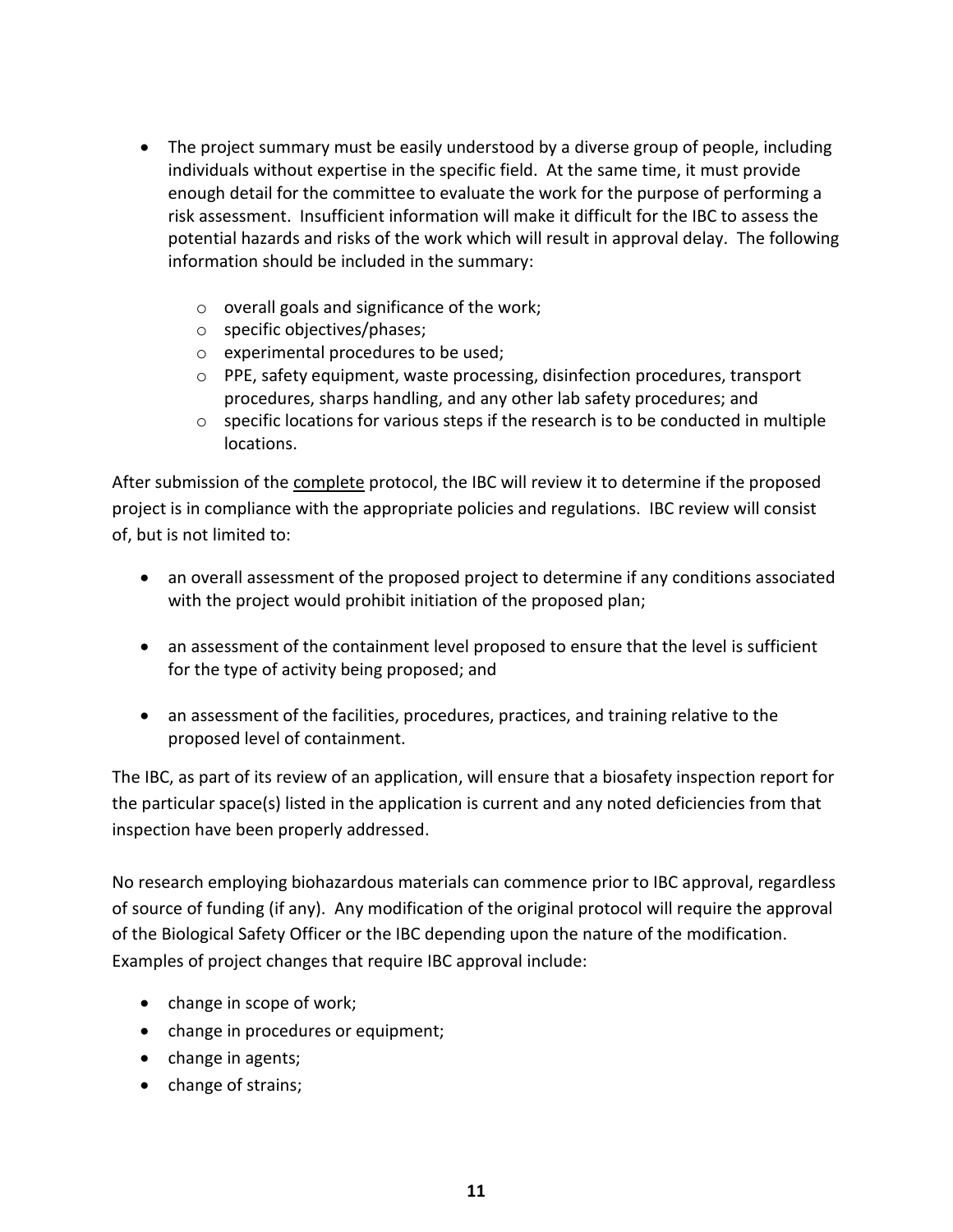- The project summary must be easily understood by a diverse group of people, including individuals without expertise in the specific field. At the same time, it must provide enough detail for the committee to evaluate the work for the purpose of performing a risk assessment. Insufficient information will make it difficult for the IBC to assess the potential hazards and risks of the work which will result in approval delay. The following information should be included in the summary:
	- o overall goals and significance of the work;
	- o specific objectives/phases;
	- o experimental procedures to be used;
	- o PPE, safety equipment, waste processing, disinfection procedures, transport procedures, sharps handling, and any other lab safety procedures; and
	- $\circ$  specific locations for various steps if the research is to be conducted in multiple locations.

After submission of the complete protocol, the IBC will review it to determine if the proposed project is in compliance with the appropriate policies and regulations. IBC review will consist of, but is not limited to:

- an overall assessment of the proposed project to determine if any conditions associated with the project would prohibit initiation of the proposed plan;
- an assessment of the containment level proposed to ensure that the level is sufficient for the type of activity being proposed; and
- an assessment of the facilities, procedures, practices, and training relative to the proposed level of containment.

The IBC, as part of its review of an application, will ensure that a biosafety inspection report for the particular space(s) listed in the application is current and any noted deficiencies from that inspection have been properly addressed.

No research employing biohazardous materials can commence prior to IBC approval, regardless of source of funding (if any). Any modification of the original protocol will require the approval of the Biological Safety Officer or the IBC depending upon the nature of the modification. Examples of project changes that require IBC approval include:

- change in scope of work;
- change in procedures or equipment;
- change in agents;
- change of strains;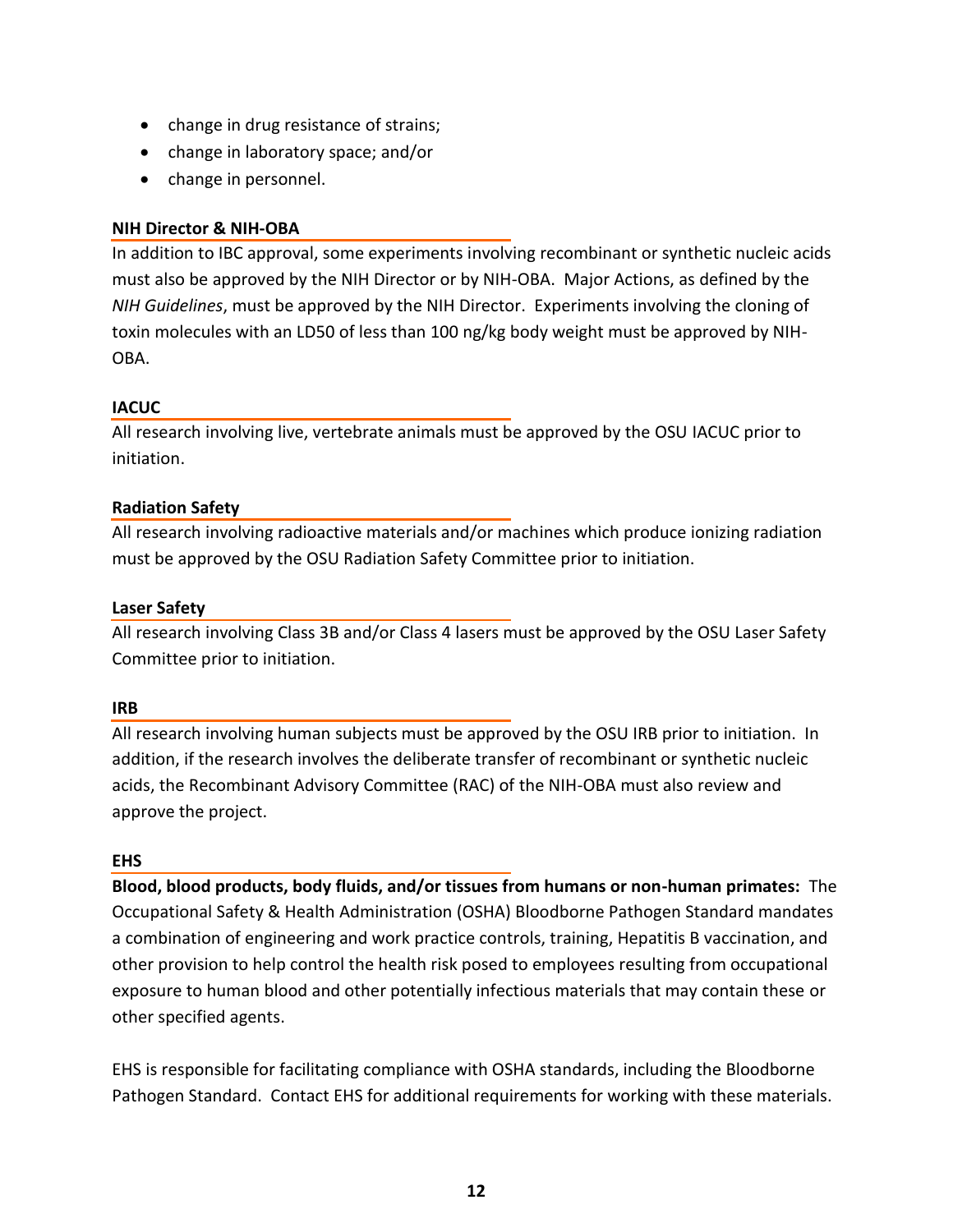- change in drug resistance of strains;
- change in laboratory space; and/or
- change in personnel.

## **NIH Director & NIH-OBA**

In addition to IBC approval, some experiments involving recombinant or synthetic nucleic acids must also be approved by the NIH Director or by NIH-OBA. Major Actions, as defined by the *NIH Guidelines*, must be approved by the NIH Director. Experiments involving the cloning of toxin molecules with an LD50 of less than 100 ng/kg body weight must be approved by NIH-OBA.

## **IACUC**

All research involving live, vertebrate animals must be approved by the OSU IACUC prior to initiation.

## **Radiation Safety**

All research involving radioactive materials and/or machines which produce ionizing radiation must be approved by the OSU Radiation Safety Committee prior to initiation.

## **Laser Safety**

All research involving Class 3B and/or Class 4 lasers must be approved by the OSU Laser Safety Committee prior to initiation.

## **IRB**

All research involving human subjects must be approved by the OSU IRB prior to initiation. In addition, if the research involves the deliberate transfer of recombinant or synthetic nucleic acids, the Recombinant Advisory Committee (RAC) of the NIH-OBA must also review and approve the project.

## **EHS**

**Blood, blood products, body fluids, and/or tissues from humans or non-human primates:** The Occupational Safety & Health Administration (OSHA) Bloodborne Pathogen Standard mandates a combination of engineering and work practice controls, training, Hepatitis B vaccination, and other provision to help control the health risk posed to employees resulting from occupational exposure to human blood and other potentially infectious materials that may contain these or other specified agents.

EHS is responsible for facilitating compliance with OSHA standards, including the Bloodborne Pathogen Standard. Contact EHS for additional requirements for working with these materials.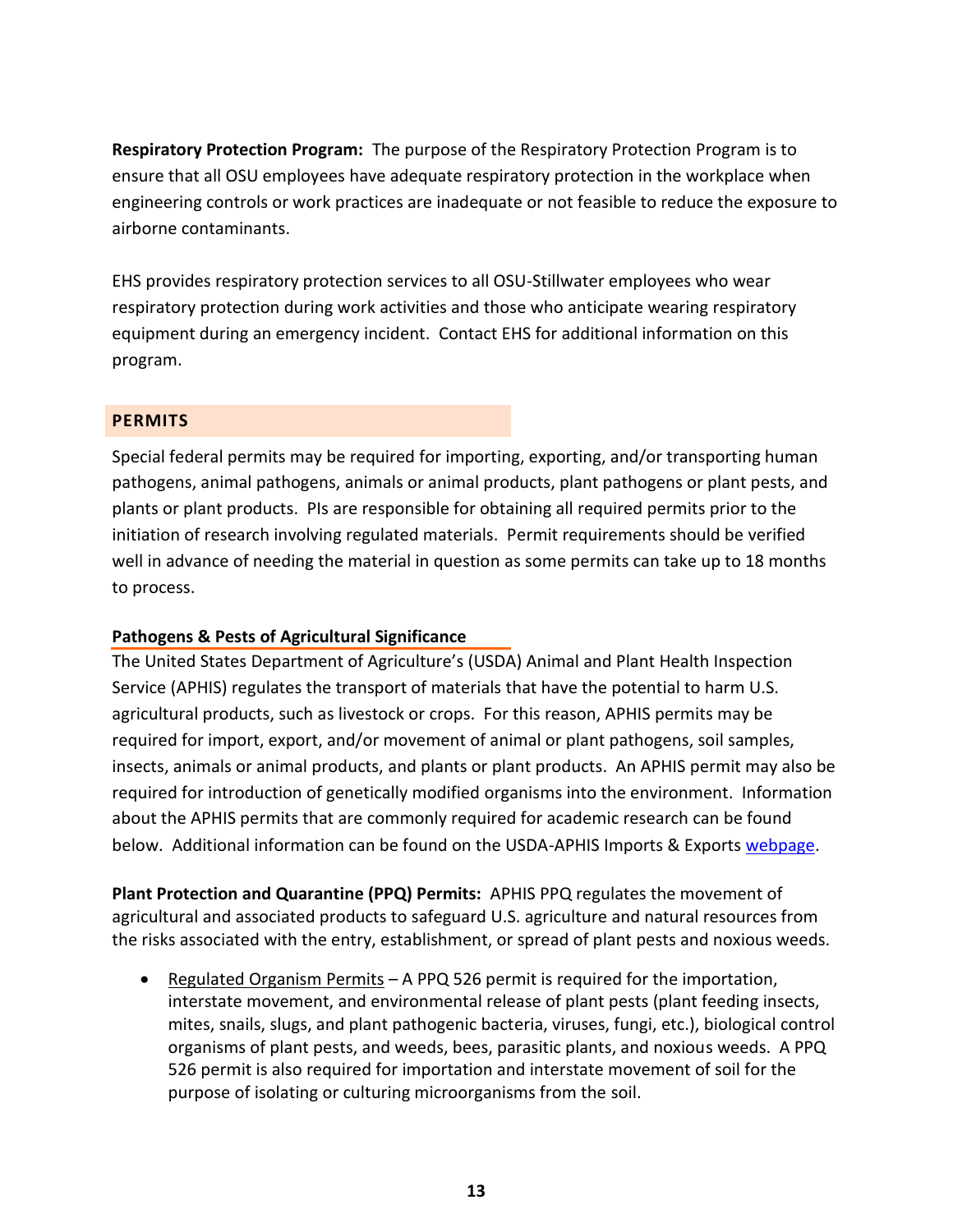**Respiratory Protection Program:** The purpose of the Respiratory Protection Program is to ensure that all OSU employees have adequate respiratory protection in the workplace when engineering controls or work practices are inadequate or not feasible to reduce the exposure to airborne contaminants.

EHS provides respiratory protection services to all OSU-Stillwater employees who wear respiratory protection during work activities and those who anticipate wearing respiratory equipment during an emergency incident. Contact EHS for additional information on this program.

## <span id="page-12-0"></span>**PERMITS**

Special federal permits may be required for importing, exporting, and/or transporting human pathogens, animal pathogens, animals or animal products, plant pathogens or plant pests, and plants or plant products. PIs are responsible for obtaining all required permits prior to the initiation of research involving regulated materials. Permit requirements should be verified well in advance of needing the material in question as some permits can take up to 18 months to process.

# **Pathogens & Pests of Agricultural Significance**

The United States Department of Agriculture's (USDA) Animal and Plant Health Inspection Service (APHIS) regulates the transport of materials that have the potential to harm U.S. agricultural products, such as livestock or crops. For this reason, APHIS permits may be required for import, export, and/or movement of animal or plant pathogens, soil samples, insects, animals or animal products, and plants or plant products. An APHIS permit may also be required for introduction of genetically modified organisms into the environment. Information about the APHIS permits that are commonly required for academic research can be found below. Additional information can be found on the USDA-APHIS Imports & Exports [webpage.](https://www.aphis.usda.gov/wps/portal/aphis/ourfocus/importexport)

**Plant Protection and Quarantine (PPQ) Permits:** APHIS PPQ regulates the movement of agricultural and associated products to safeguard U.S. agriculture and natural resources from the risks associated with the entry, establishment, or spread of plant pests and noxious weeds.

• Regulated Organism Permits – A PPQ 526 permit is required for the importation, interstate movement, and environmental release of plant pests (plant feeding insects, mites, snails, slugs, and plant pathogenic bacteria, viruses, fungi, etc.), biological control organisms of plant pests, and weeds, bees, parasitic plants, and noxious weeds. A PPQ 526 permit is also required for importation and interstate movement of soil for the purpose of isolating or culturing microorganisms from the soil.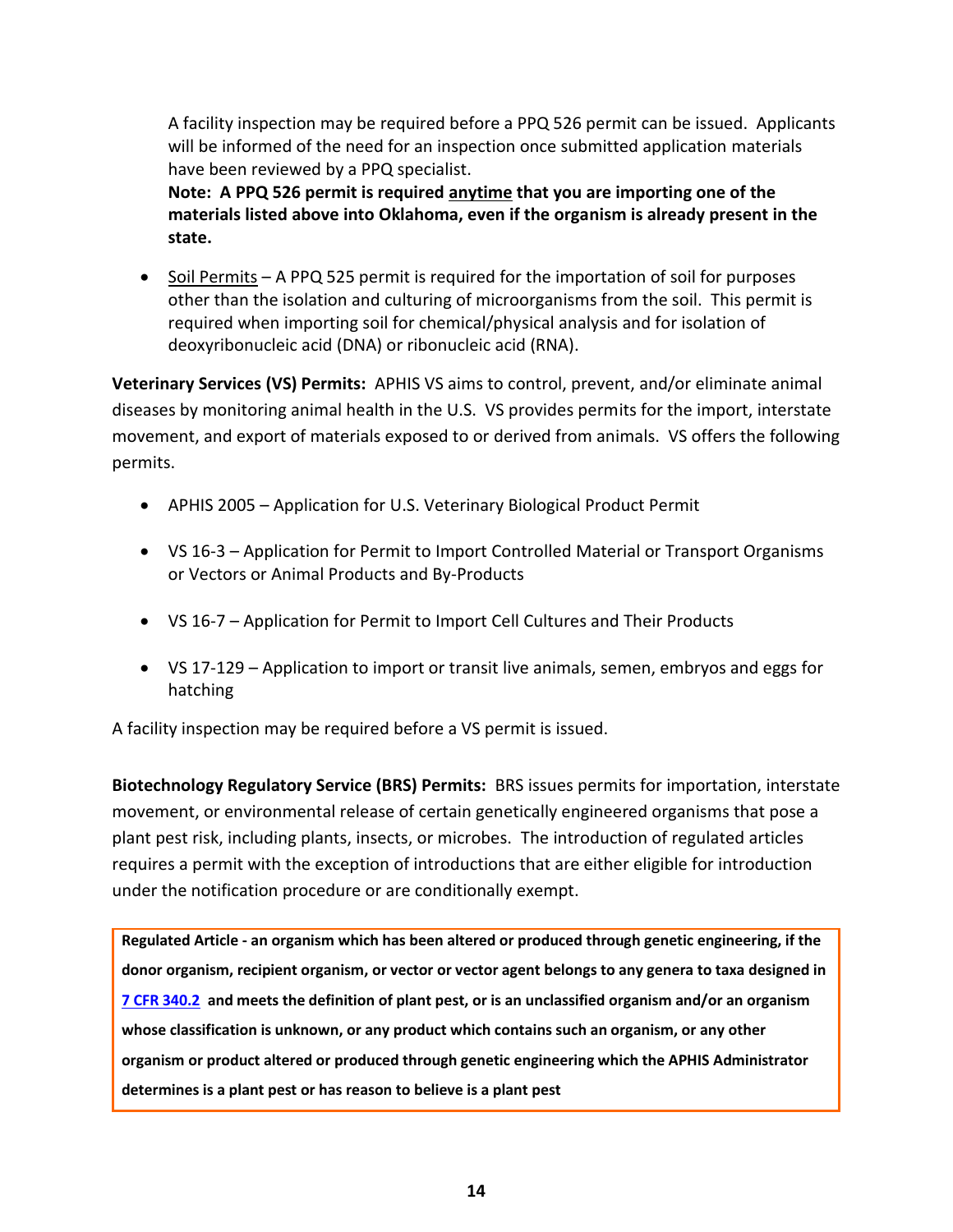A facility inspection may be required before a PPQ 526 permit can be issued. Applicants will be informed of the need for an inspection once submitted application materials have been reviewed by a PPQ specialist.

**Note: A PPQ 526 permit is required anytime that you are importing one of the materials listed above into Oklahoma, even if the organism is already present in the state.**

 $\bullet$  Soil Permits – A PPQ 525 permit is required for the importation of soil for purposes other than the isolation and culturing of microorganisms from the soil. This permit is required when importing soil for chemical/physical analysis and for isolation of deoxyribonucleic acid (DNA) or ribonucleic acid (RNA).

**Veterinary Services (VS) Permits:** APHIS VS aims to control, prevent, and/or eliminate animal diseases by monitoring animal health in the U.S. VS provides permits for the import, interstate movement, and export of materials exposed to or derived from animals. VS offers the following permits.

- APHIS 2005 Application for U.S. Veterinary Biological Product Permit
- VS 16-3 Application for Permit to Import Controlled Material or Transport Organisms or Vectors or Animal Products and By-Products
- VS 16-7 Application for Permit to Import Cell Cultures and Their Products
- VS 17-129 Application to import or transit live animals, semen, embryos and eggs for hatching

A facility inspection may be required before a VS permit is issued.

**Biotechnology Regulatory Service (BRS) Permits:** BRS issues permits for importation, interstate movement, or environmental release of certain genetically engineered organisms that pose a plant pest risk, including plants, insects, or microbes. The introduction of regulated articles requires a permit with the exception of introductions that are either eligible for introduction under the notification procedure or are conditionally exempt.

**Regulated Article - an organism which has been altered or produced through genetic engineering, if the donor organism, recipient organism, or vector or vector agent belongs to any genera to taxa designed in [7 CFR 340.2](http://www.ecfr.gov/cgi-bin/text-idx?SID=00becd62a46314df2242584794ecdc72&node=se7.5.340_12&rgn=div8) and meets the definition of plant pest, or is an unclassified organism and/or an organism whose classification is unknown, or any product which contains such an organism, or any other organism or product altered or produced through genetic engineering which the APHIS Administrator determines is a plant pest or has reason to believe is a plant pest**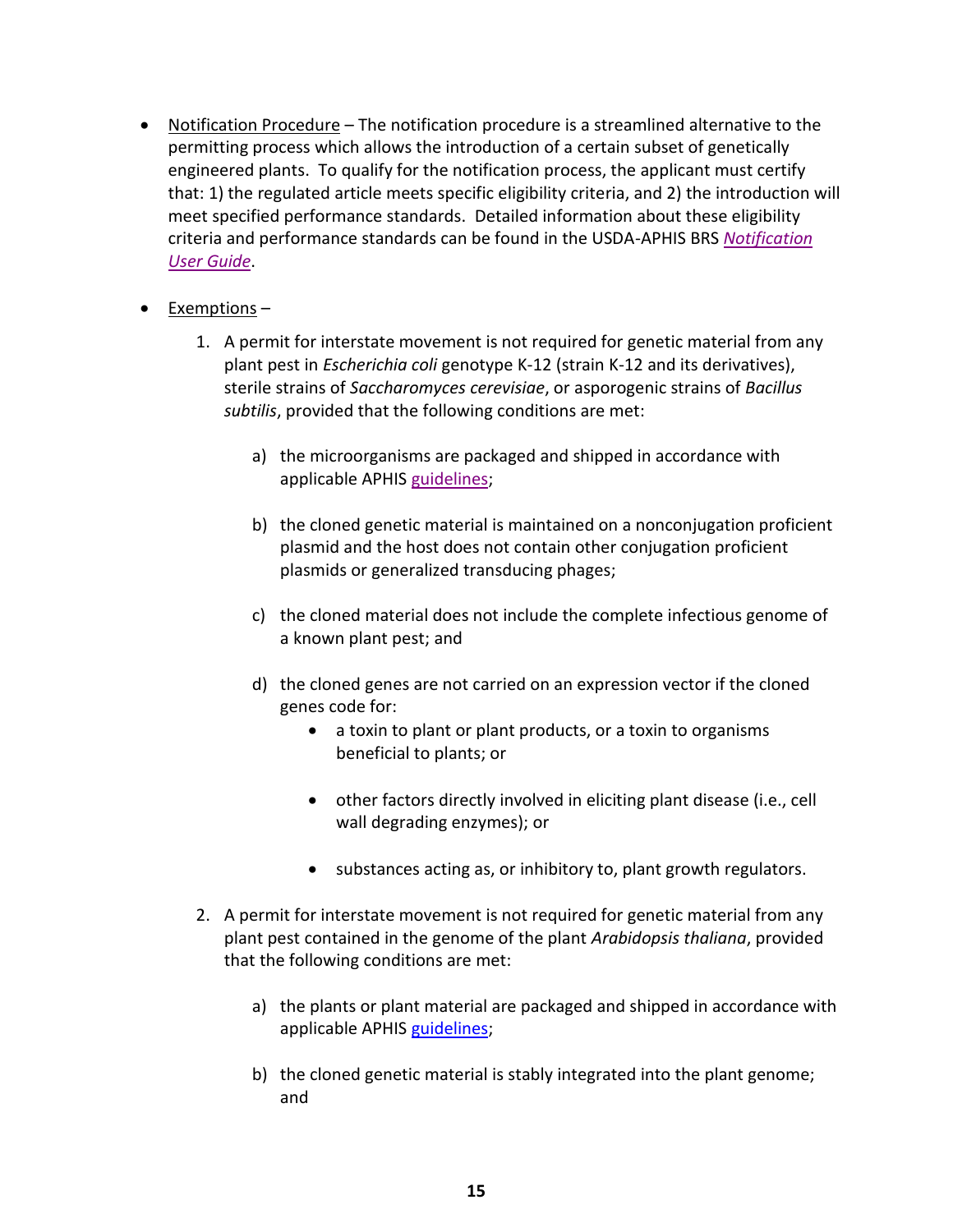- Notification Procedure The notification procedure is a streamlined alternative to the permitting process which allows the introduction of a certain subset of genetically engineered plants. To qualify for the notification process, the applicant must certify that: 1) the regulated article meets specific eligibility criteria, and 2) the introduction will meet specified performance standards. Detailed information about these eligibility criteria and performance standards can be found in the USDA-APHIS BRS *[Notification](http://www.aphis.usda.gov/biotechnology/downloads/notification_guidance_0311.pdf)  [User Guide](http://www.aphis.usda.gov/biotechnology/downloads/notification_guidance_0311.pdf)*.
- Exemptions
	- 1. A permit for interstate movement is not required for genetic material from any plant pest in *Escherichia coli* genotype K-12 (strain K-12 and its derivatives), sterile strains of *Saccharomyces cerevisiae*, or asporogenic strains of *Bacillus subtilis*, provided that the following conditions are met:
		- a) the microorganisms are packaged and shipped in accordance with applicable APHIS [guidelines;](http://www.ecfr.gov/cgi-bin/text-idx?SID=9893e303a4c494d1f57e6b751e7f8575&node=se7.5.340_18&rgn=div8)
		- b) the cloned genetic material is maintained on a nonconjugation proficient plasmid and the host does not contain other conjugation proficient plasmids or generalized transducing phages;
		- c) the cloned material does not include the complete infectious genome of a known plant pest; and
		- d) the cloned genes are not carried on an expression vector if the cloned genes code for:
			- a toxin to plant or plant products, or a toxin to organisms beneficial to plants; or
			- other factors directly involved in eliciting plant disease (i.e., cell wall degrading enzymes); or
			- substances acting as, or inhibitory to, plant growth regulators.
	- 2. A permit for interstate movement is not required for genetic material from any plant pest contained in the genome of the plant *Arabidopsis thaliana*, provided that the following conditions are met:
		- a) the plants or plant material are packaged and shipped in accordance with applicable APHIS [guidelines;](http://www.ecfr.gov/cgi-bin/text-idx?SID=9893e303a4c494d1f57e6b751e7f8575&node=se7.5.340_18&rgn=div8)
		- b) the cloned genetic material is stably integrated into the plant genome; and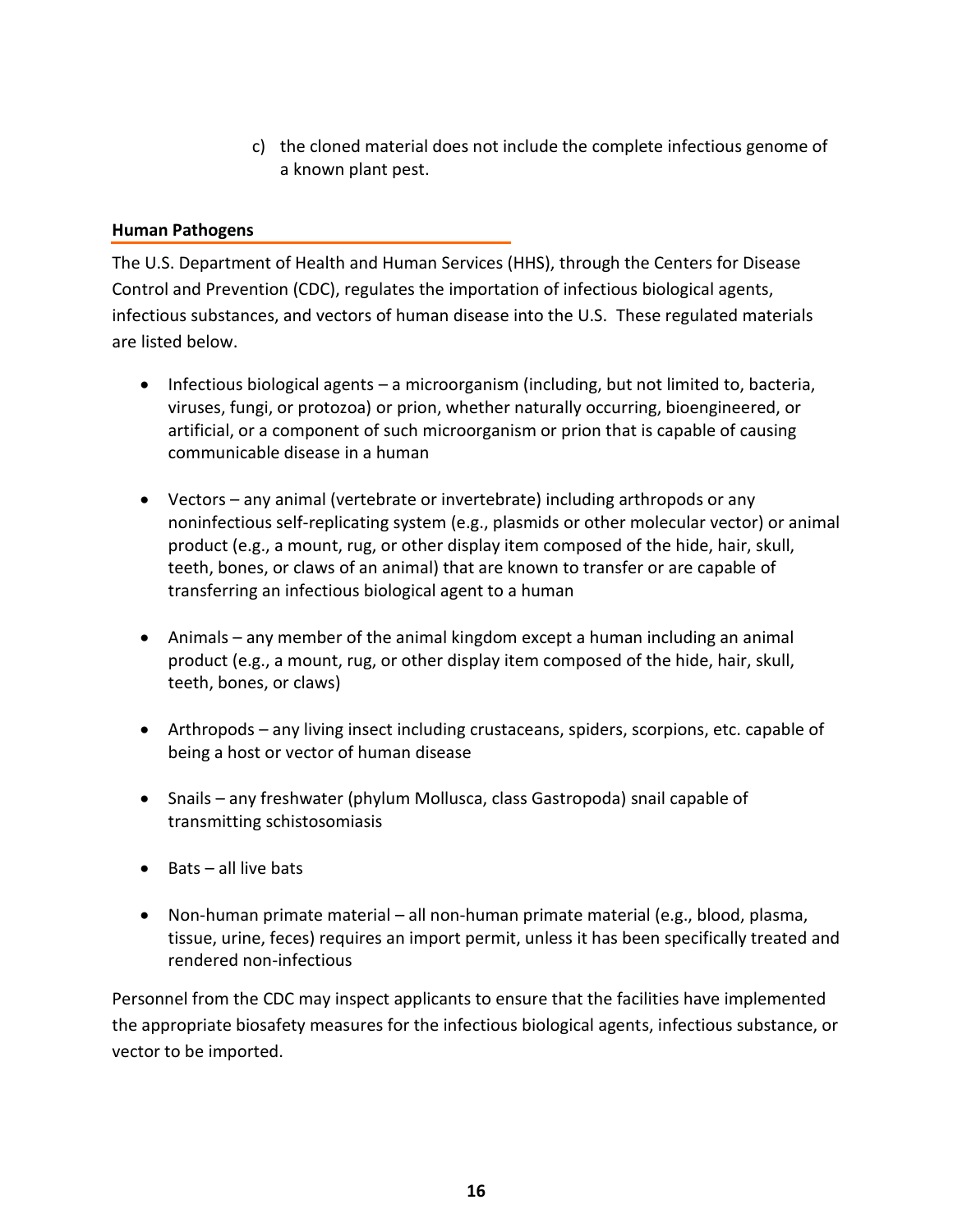c) the cloned material does not include the complete infectious genome of a known plant pest.

## **Human Pathogens**

The U.S. Department of Health and Human Services (HHS), through the Centers for Disease Control and Prevention (CDC), regulates the importation of infectious biological agents, infectious substances, and vectors of human disease into the U.S. These regulated materials are listed below.

- Infectious biological agents a microorganism (including, but not limited to, bacteria, viruses, fungi, or protozoa) or prion, whether naturally occurring, bioengineered, or artificial, or a component of such microorganism or prion that is capable of causing communicable disease in a human
- Vectors any animal (vertebrate or invertebrate) including arthropods or any noninfectious self-replicating system (e.g., plasmids or other molecular vector) or animal product (e.g., a mount, rug, or other display item composed of the hide, hair, skull, teeth, bones, or claws of an animal) that are known to transfer or are capable of transferring an infectious biological agent to a human
- Animals any member of the animal kingdom except a human including an animal product (e.g., a mount, rug, or other display item composed of the hide, hair, skull, teeth, bones, or claws)
- Arthropods any living insect including crustaceans, spiders, scorpions, etc. capable of being a host or vector of human disease
- Snails any freshwater (phylum Mollusca, class Gastropoda) snail capable of transmitting schistosomiasis
- $\bullet$  Rats all live bats
- Non-human primate material all non-human primate material (e.g., blood, plasma, tissue, urine, feces) requires an import permit, unless it has been specifically treated and rendered non-infectious

Personnel from the CDC may inspect applicants to ensure that the facilities have implemented the appropriate biosafety measures for the infectious biological agents, infectious substance, or vector to be imported.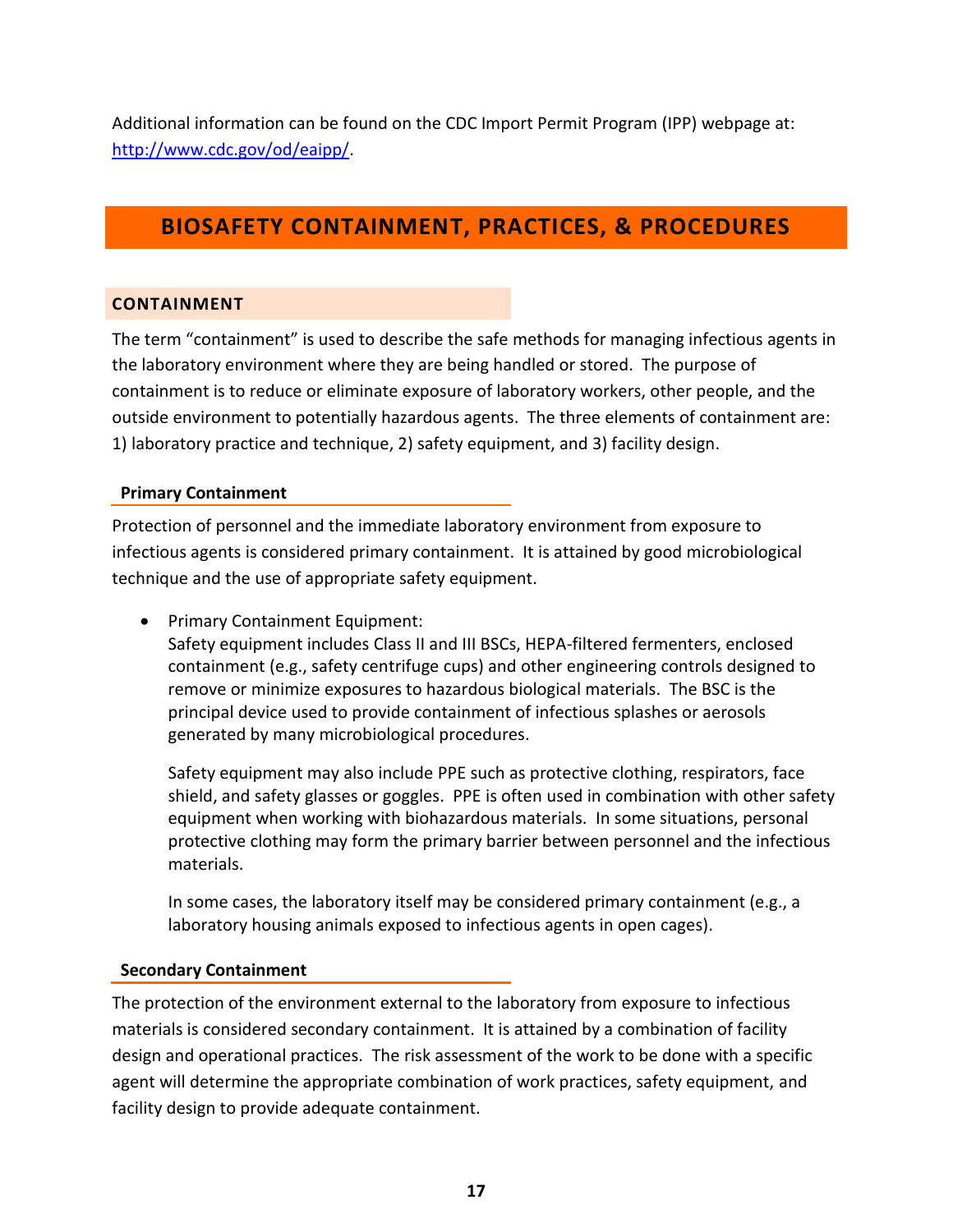Additional information can be found on the CDC Import Permit Program (IPP) webpage at: [http://www.cdc.gov/od/eaipp/.](http://www.cdc.gov/od/eaipp/)

# <span id="page-16-0"></span>**BIOSAFETY CONTAINMENT, PRACTICES, & PROCEDURES**

# <span id="page-16-1"></span>**CONTAINMENT**

The term "containment" is used to describe the safe methods for managing infectious agents in the laboratory environment where they are being handled or stored. The purpose of containment is to reduce or eliminate exposure of laboratory workers, other people, and the outside environment to potentially hazardous agents. The three elements of containment are: 1) laboratory practice and technique, 2) safety equipment, and 3) facility design.

# **Primary Containment**

Protection of personnel and the immediate laboratory environment from exposure to infectious agents is considered primary containment. It is attained by good microbiological technique and the use of appropriate safety equipment.

• Primary Containment Equipment:

Safety equipment includes Class II and III BSCs, HEPA-filtered fermenters, enclosed containment (e.g., safety centrifuge cups) and other engineering controls designed to remove or minimize exposures to hazardous biological materials. The BSC is the principal device used to provide containment of infectious splashes or aerosols generated by many microbiological procedures.

Safety equipment may also include PPE such as protective clothing, respirators, face shield, and safety glasses or goggles. PPE is often used in combination with other safety equipment when working with biohazardous materials. In some situations, personal protective clothing may form the primary barrier between personnel and the infectious materials.

In some cases, the laboratory itself may be considered primary containment (e.g., a laboratory housing animals exposed to infectious agents in open cages).

# **Secondary Containment**

The protection of the environment external to the laboratory from exposure to infectious materials is considered secondary containment. It is attained by a combination of facility design and operational practices. The risk assessment of the work to be done with a specific agent will determine the appropriate combination of work practices, safety equipment, and facility design to provide adequate containment.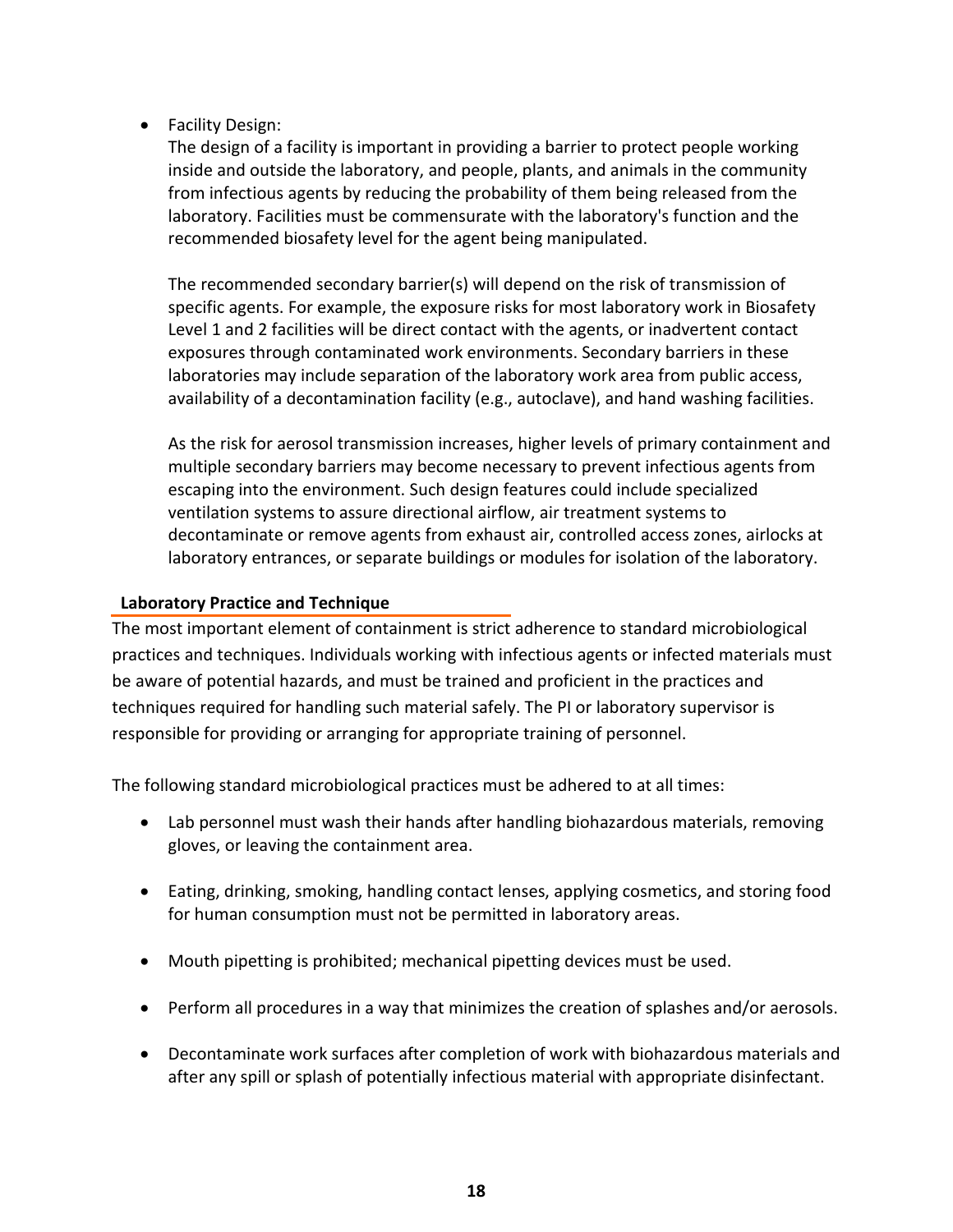• Facility Design:

The design of a facility is important in providing a barrier to protect people working inside and outside the laboratory, and people, plants, and animals in the community from infectious agents by reducing the probability of them being released from the laboratory. Facilities must be commensurate with the laboratory's function and the recommended biosafety level for the agent being manipulated.

The recommended secondary barrier(s) will depend on the risk of transmission of specific agents. For example, the exposure risks for most laboratory work in Biosafety Level 1 and 2 facilities will be direct contact with the agents, or inadvertent contact exposures through contaminated work environments. Secondary barriers in these laboratories may include separation of the laboratory work area from public access, availability of a decontamination facility (e.g., autoclave), and hand washing facilities.

As the risk for aerosol transmission increases, higher levels of primary containment and multiple secondary barriers may become necessary to prevent infectious agents from escaping into the environment. Such design features could include specialized ventilation systems to assure directional airflow, air treatment systems to decontaminate or remove agents from exhaust air, controlled access zones, airlocks at laboratory entrances, or separate buildings or modules for isolation of the laboratory.

## **Laboratory Practice and Technique**

The most important element of containment is strict adherence to standard microbiological practices and techniques. Individuals working with infectious agents or infected materials must be aware of potential hazards, and must be trained and proficient in the practices and techniques required for handling such material safely. The PI or laboratory supervisor is responsible for providing or arranging for appropriate training of personnel.

The following standard microbiological practices must be adhered to at all times:

- Lab personnel must wash their hands after handling biohazardous materials, removing gloves, or leaving the containment area.
- Eating, drinking, smoking, handling contact lenses, applying cosmetics, and storing food for human consumption must not be permitted in laboratory areas.
- Mouth pipetting is prohibited; mechanical pipetting devices must be used.
- Perform all procedures in a way that minimizes the creation of splashes and/or aerosols.
- Decontaminate work surfaces after completion of work with biohazardous materials and after any spill or splash of potentially infectious material with appropriate disinfectant.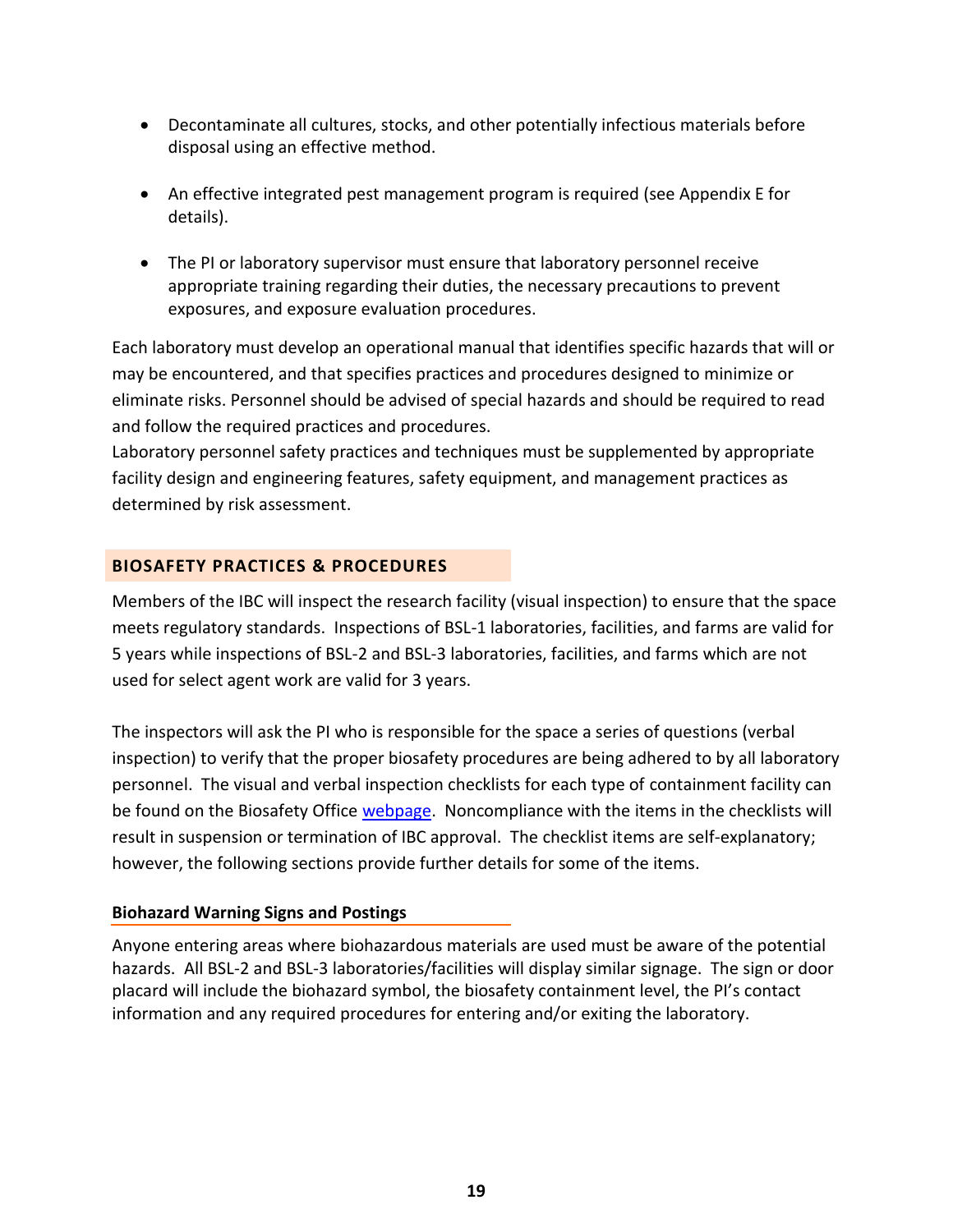- Decontaminate all cultures, stocks, and other potentially infectious materials before disposal using an effective method.
- An effective integrated pest management program is required (see Appendix E for details).
- The PI or laboratory supervisor must ensure that laboratory personnel receive appropriate training regarding their duties, the necessary precautions to prevent exposures, and exposure evaluation procedures.

Each laboratory must develop an operational manual that identifies specific hazards that will or may be encountered, and that specifies practices and procedures designed to minimize or eliminate risks. Personnel should be advised of special hazards and should be required to read and follow the required practices and procedures.

Laboratory personnel safety practices and techniques must be supplemented by appropriate facility design and engineering features, safety equipment, and management practices as determined by risk assessment.

# <span id="page-18-0"></span>**BIOSAFETY PRACTICES & PROCEDURES**

Members of the IBC will inspect the research facility (visual inspection) to ensure that the space meets regulatory standards. Inspections of BSL-1 laboratories, facilities, and farms are valid for 5 years while inspections of BSL-2 and BSL-3 laboratories, facilities, and farms which are not used for select agent work are valid for 3 years.

The inspectors will ask the PI who is responsible for the space a series of questions (verbal inspection) to verify that the proper biosafety procedures are being adhered to by all laboratory personnel. The visual and verbal inspection checklists for each type of containment facility can be found on the Biosafety Office [webpage.](http://compliance.okstate.edu/ibc/lab-inspections) Noncompliance with the items in the checklists will result in suspension or termination of IBC approval. The checklist items are self-explanatory; however, the following sections provide further details for some of the items.

# **Biohazard Warning Signs and Postings**

Anyone entering areas where biohazardous materials are used must be aware of the potential hazards. All BSL-2 and BSL-3 laboratories/facilities will display similar signage. The sign or door placard will include the biohazard symbol, the biosafety containment level, the PI's contact information and any required procedures for entering and/or exiting the laboratory.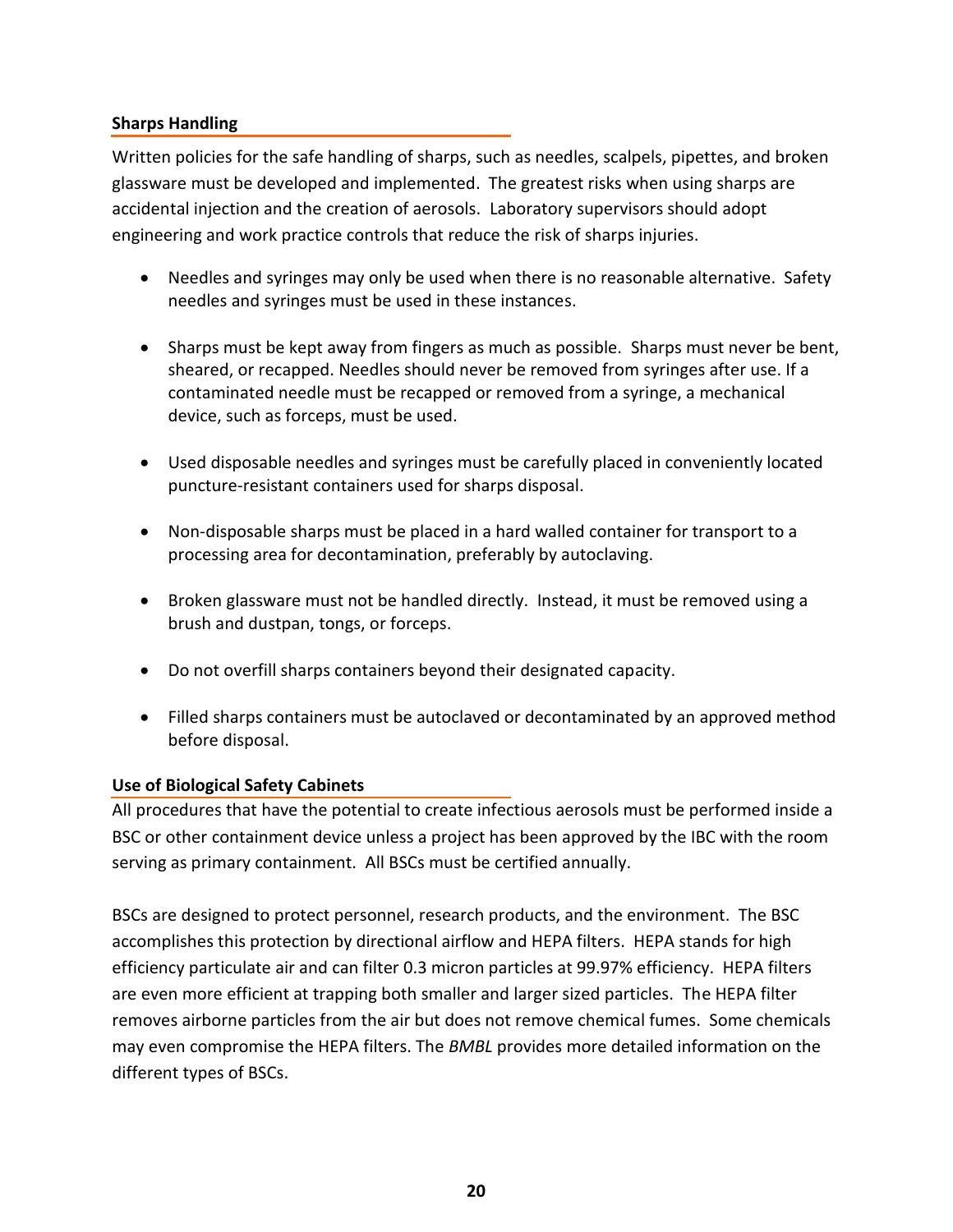# **Sharps Handling**

Written policies for the safe handling of sharps, such as needles, scalpels, pipettes, and broken glassware must be developed and implemented. The greatest risks when using sharps are accidental injection and the creation of aerosols. Laboratory supervisors should adopt engineering and work practice controls that reduce the risk of sharps injuries.

- Needles and syringes may only be used when there is no reasonable alternative. Safety needles and syringes must be used in these instances.
- Sharps must be kept away from fingers as much as possible. Sharps must never be bent, sheared, or recapped. Needles should never be removed from syringes after use. If a contaminated needle must be recapped or removed from a syringe, a mechanical device, such as forceps, must be used.
- Used disposable needles and syringes must be carefully placed in conveniently located puncture-resistant containers used for sharps disposal.
- Non-disposable sharps must be placed in a hard walled container for transport to a processing area for decontamination, preferably by autoclaving.
- Broken glassware must not be handled directly. Instead, it must be removed using a brush and dustpan, tongs, or forceps.
- Do not overfill sharps containers beyond their designated capacity.
- Filled sharps containers must be autoclaved or decontaminated by an approved method before disposal.

# **Use of Biological Safety Cabinets**

All procedures that have the potential to create infectious aerosols must be performed inside a BSC or other containment device unless a project has been approved by the IBC with the room serving as primary containment. All BSCs must be certified annually.

BSCs are designed to protect personnel, research products, and the environment. The BSC accomplishes this protection by directional airflow and HEPA filters. HEPA stands for high efficiency particulate air and can filter 0.3 micron particles at 99.97% efficiency. HEPA filters are even more efficient at trapping both smaller and larger sized particles. The HEPA filter removes airborne particles from the air but does not remove chemical fumes. Some chemicals may even compromise the HEPA filters. The *BMBL* provides more detailed information on the different types of BSCs.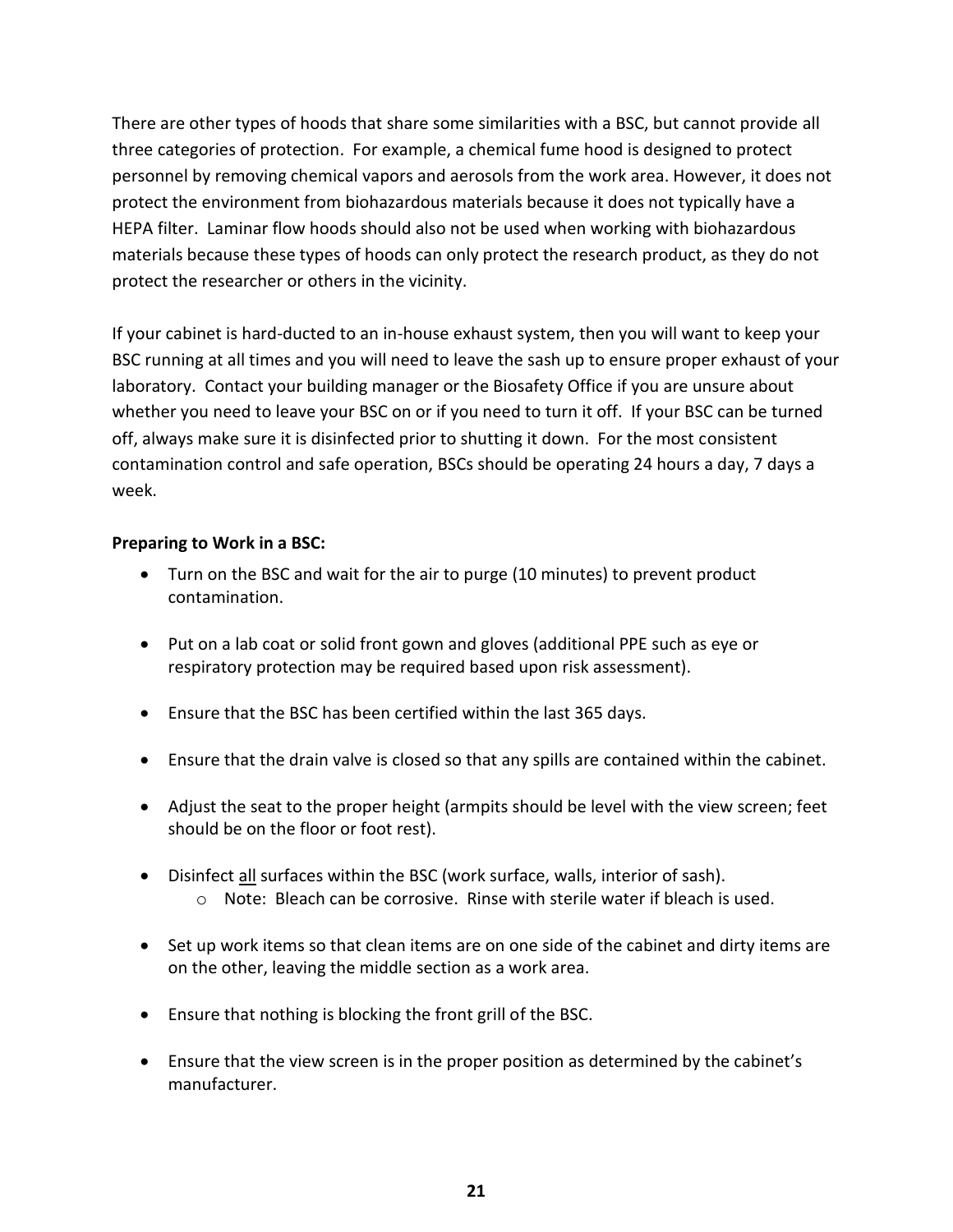There are other types of hoods that share some similarities with a BSC, but cannot provide all three categories of protection. For example, a chemical fume hood is designed to protect personnel by removing chemical vapors and aerosols from the work area. However, it does not protect the environment from biohazardous materials because it does not typically have a HEPA filter. Laminar flow hoods should also not be used when working with biohazardous materials because these types of hoods can only protect the research product, as they do not protect the researcher or others in the vicinity.

If your cabinet is hard-ducted to an in-house exhaust system, then you will want to keep your BSC running at all times and you will need to leave the sash up to ensure proper exhaust of your laboratory. Contact your building manager or the Biosafety Office if you are unsure about whether you need to leave your BSC on or if you need to turn it off. If your BSC can be turned off, always make sure it is disinfected prior to shutting it down. For the most consistent contamination control and safe operation, BSCs should be operating 24 hours a day, 7 days a week.

# **Preparing to Work in a BSC:**

- Turn on the BSC and wait for the air to purge (10 minutes) to prevent product contamination.
- Put on a lab coat or solid front gown and gloves (additional PPE such as eye or respiratory protection may be required based upon risk assessment).
- Ensure that the BSC has been certified within the last 365 days.
- Ensure that the drain valve is closed so that any spills are contained within the cabinet.
- Adjust the seat to the proper height (armpits should be level with the view screen; feet should be on the floor or foot rest).
- Disinfect all surfaces within the BSC (work surface, walls, interior of sash). o Note: Bleach can be corrosive. Rinse with sterile water if bleach is used.
- Set up work items so that clean items are on one side of the cabinet and dirty items are on the other, leaving the middle section as a work area.
- Ensure that nothing is blocking the front grill of the BSC.
- Ensure that the view screen is in the proper position as determined by the cabinet's manufacturer.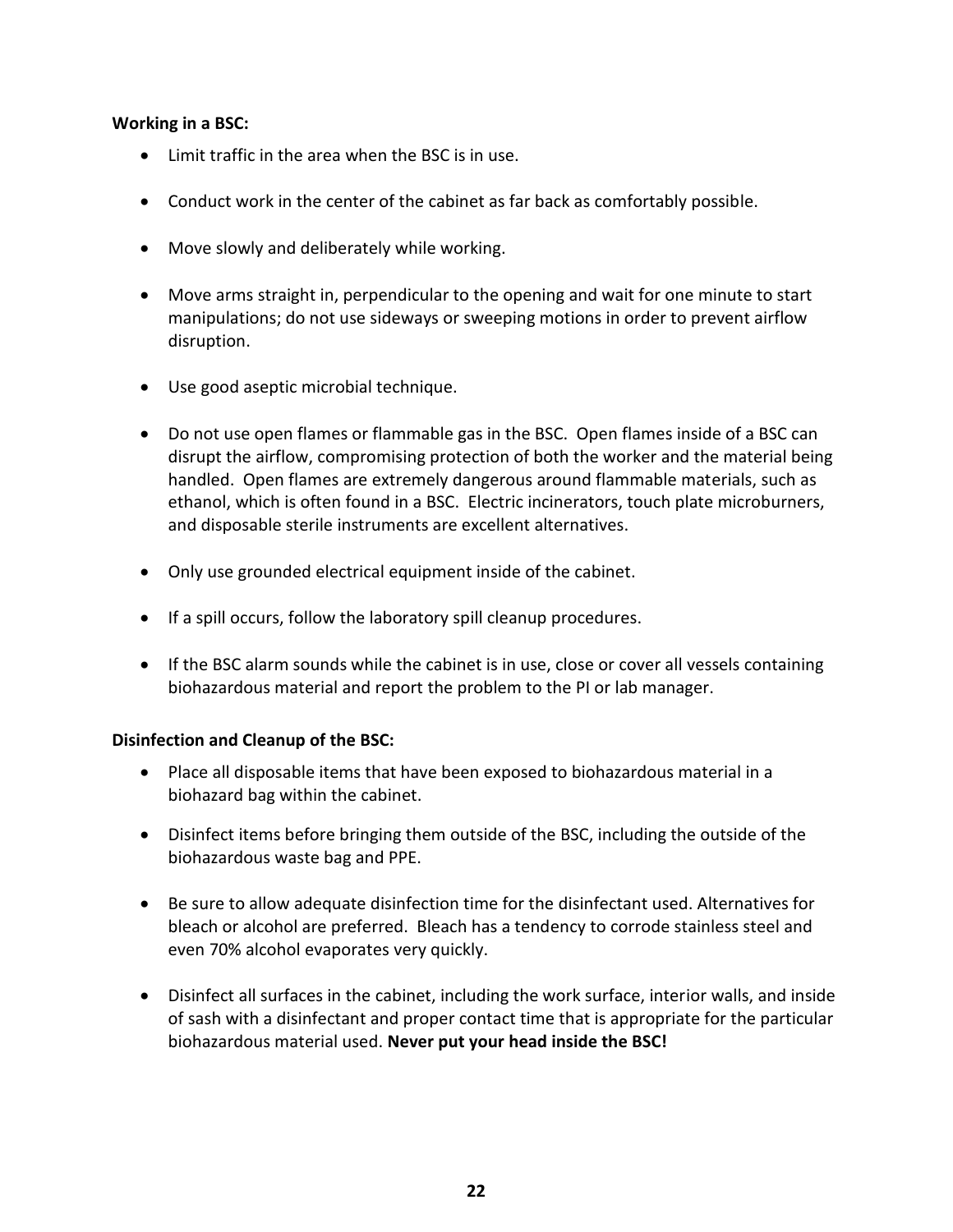## **Working in a BSC:**

- Limit traffic in the area when the BSC is in use.
- Conduct work in the center of the cabinet as far back as comfortably possible.
- Move slowly and deliberately while working.
- Move arms straight in, perpendicular to the opening and wait for one minute to start manipulations; do not use sideways or sweeping motions in order to prevent airflow disruption.
- Use good aseptic microbial technique.
- Do not use open flames or flammable gas in the BSC. Open flames inside of a BSC can disrupt the airflow, compromising protection of both the worker and the material being handled. Open flames are extremely dangerous around flammable materials, such as ethanol, which is often found in a BSC. Electric incinerators, touch plate microburners, and disposable sterile instruments are excellent alternatives.
- Only use grounded electrical equipment inside of the cabinet.
- If a spill occurs, follow the laboratory spill cleanup procedures.
- If the BSC alarm sounds while the cabinet is in use, close or cover all vessels containing biohazardous material and report the problem to the PI or lab manager.

## **Disinfection and Cleanup of the BSC:**

- Place all disposable items that have been exposed to biohazardous material in a biohazard bag within the cabinet.
- Disinfect items before bringing them outside of the BSC, including the outside of the biohazardous waste bag and PPE.
- Be sure to allow adequate disinfection time for the disinfectant used. Alternatives for bleach or alcohol are preferred. Bleach has a tendency to corrode stainless steel and even 70% alcohol evaporates very quickly.
- Disinfect all surfaces in the cabinet, including the work surface, interior walls, and inside of sash with a disinfectant and proper contact time that is appropriate for the particular biohazardous material used. **Never put your head inside the BSC!**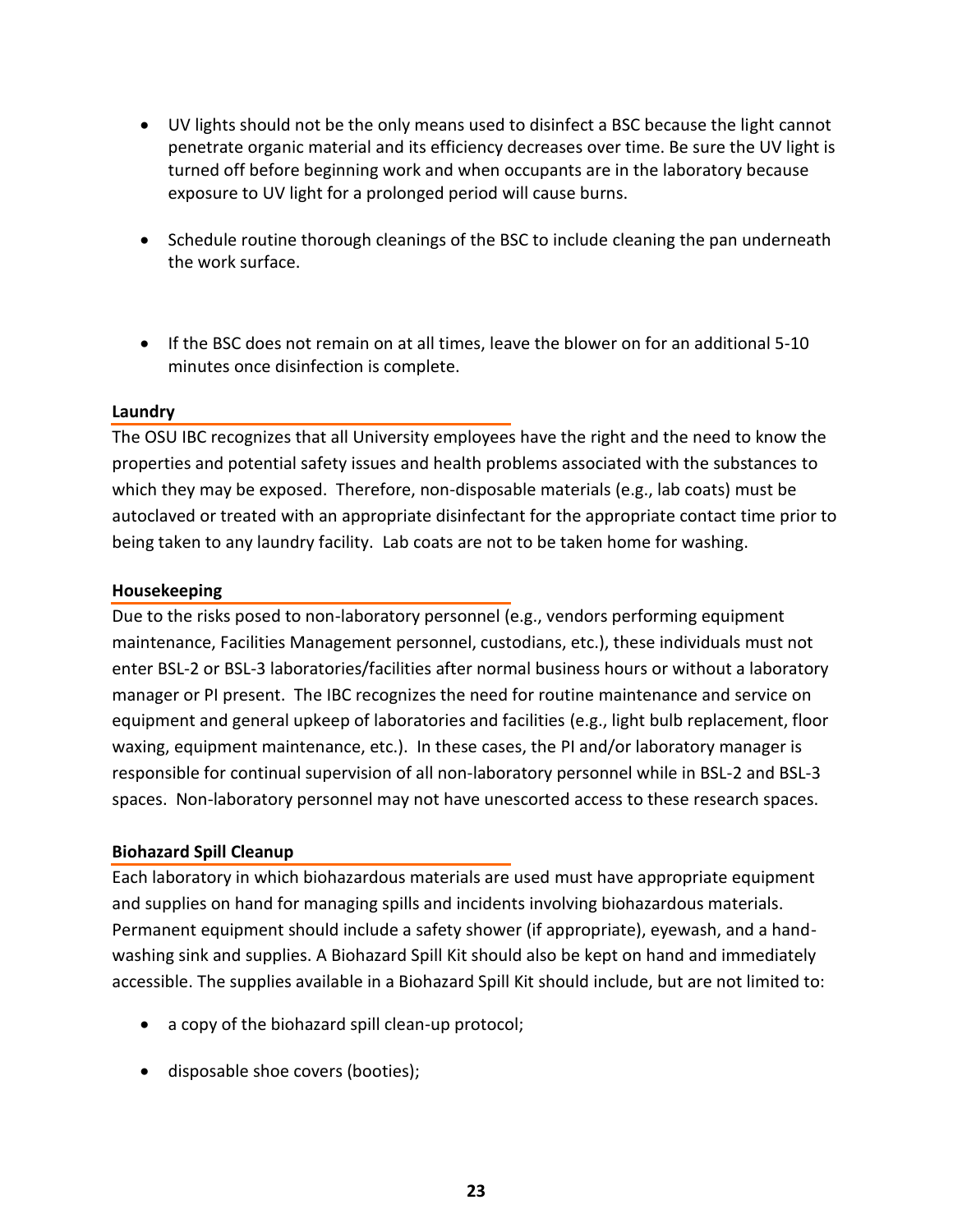- UV lights should not be the only means used to disinfect a BSC because the light cannot penetrate organic material and its efficiency decreases over time. Be sure the UV light is turned off before beginning work and when occupants are in the laboratory because exposure to UV light for a prolonged period will cause burns.
- Schedule routine thorough cleanings of the BSC to include cleaning the pan underneath the work surface.
- If the BSC does not remain on at all times, leave the blower on for an additional 5-10 minutes once disinfection is complete.

## **Laundry**

The OSU IBC recognizes that all University employees have the right and the need to know the properties and potential safety issues and health problems associated with the substances to which they may be exposed. Therefore, non-disposable materials (e.g., lab coats) must be autoclaved or treated with an appropriate disinfectant for the appropriate contact time prior to being taken to any laundry facility. Lab coats are not to be taken home for washing.

## **Housekeeping**

Due to the risks posed to non-laboratory personnel (e.g., vendors performing equipment maintenance, Facilities Management personnel, custodians, etc.), these individuals must not enter BSL-2 or BSL-3 laboratories/facilities after normal business hours or without a laboratory manager or PI present. The IBC recognizes the need for routine maintenance and service on equipment and general upkeep of laboratories and facilities (e.g., light bulb replacement, floor waxing, equipment maintenance, etc.). In these cases, the PI and/or laboratory manager is responsible for continual supervision of all non-laboratory personnel while in BSL-2 and BSL-3 spaces. Non-laboratory personnel may not have unescorted access to these research spaces.

## **Biohazard Spill Cleanup**

Each laboratory in which biohazardous materials are used must have appropriate equipment and supplies on hand for managing spills and incidents involving biohazardous materials. Permanent equipment should include a safety shower (if appropriate), eyewash, and a handwashing sink and supplies. A Biohazard Spill Kit should also be kept on hand and immediately accessible. The supplies available in a Biohazard Spill Kit should include, but are not limited to:

- a copy of the biohazard spill clean-up protocol;
- disposable shoe covers (booties);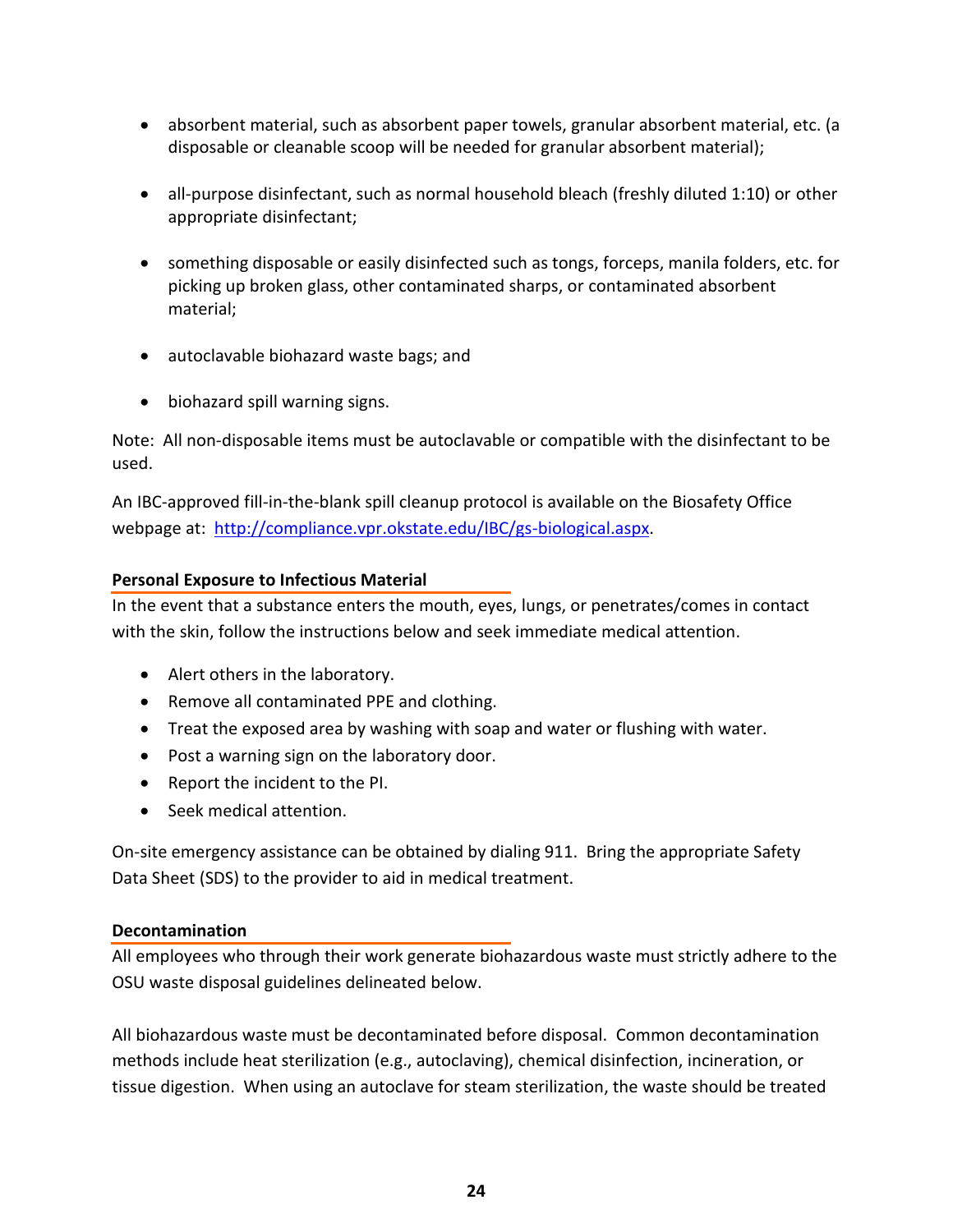- absorbent material, such as absorbent paper towels, granular absorbent material, etc. (a disposable or cleanable scoop will be needed for granular absorbent material);
- all-purpose disinfectant, such as normal household bleach (freshly diluted 1:10) or other appropriate disinfectant;
- something disposable or easily disinfected such as tongs, forceps, manila folders, etc. for picking up broken glass, other contaminated sharps, or contaminated absorbent material;
- autoclavable biohazard waste bags; and
- biohazard spill warning signs.

Note: All non-disposable items must be autoclavable or compatible with the disinfectant to be used.

An IBC-approved fill-in-the-blank spill cleanup protocol is available on the Biosafety Office webpage at: [http://compliance.vpr.okstate.edu/IBC/gs-biological.aspx.](http://compliance.vpr.okstate.edu/IBC/gs-biological.aspx)

# **Personal Exposure to Infectious Material**

In the event that a substance enters the mouth, eyes, lungs, or penetrates/comes in contact with the skin, follow the instructions below and seek immediate medical attention.

- Alert others in the laboratory.
- Remove all contaminated PPE and clothing.
- Treat the exposed area by washing with soap and water or flushing with water.
- Post a warning sign on the laboratory door.
- Report the incident to the PI.
- Seek medical attention.

On-site emergency assistance can be obtained by dialing 911. Bring the appropriate Safety Data Sheet (SDS) to the provider to aid in medical treatment.

## **Decontamination**

All employees who through their work generate biohazardous waste must strictly adhere to the OSU waste disposal guidelines delineated below.

All biohazardous waste must be decontaminated before disposal. Common decontamination methods include heat sterilization (e.g., autoclaving), chemical disinfection, incineration, or tissue digestion. When using an autoclave for steam sterilization, the waste should be treated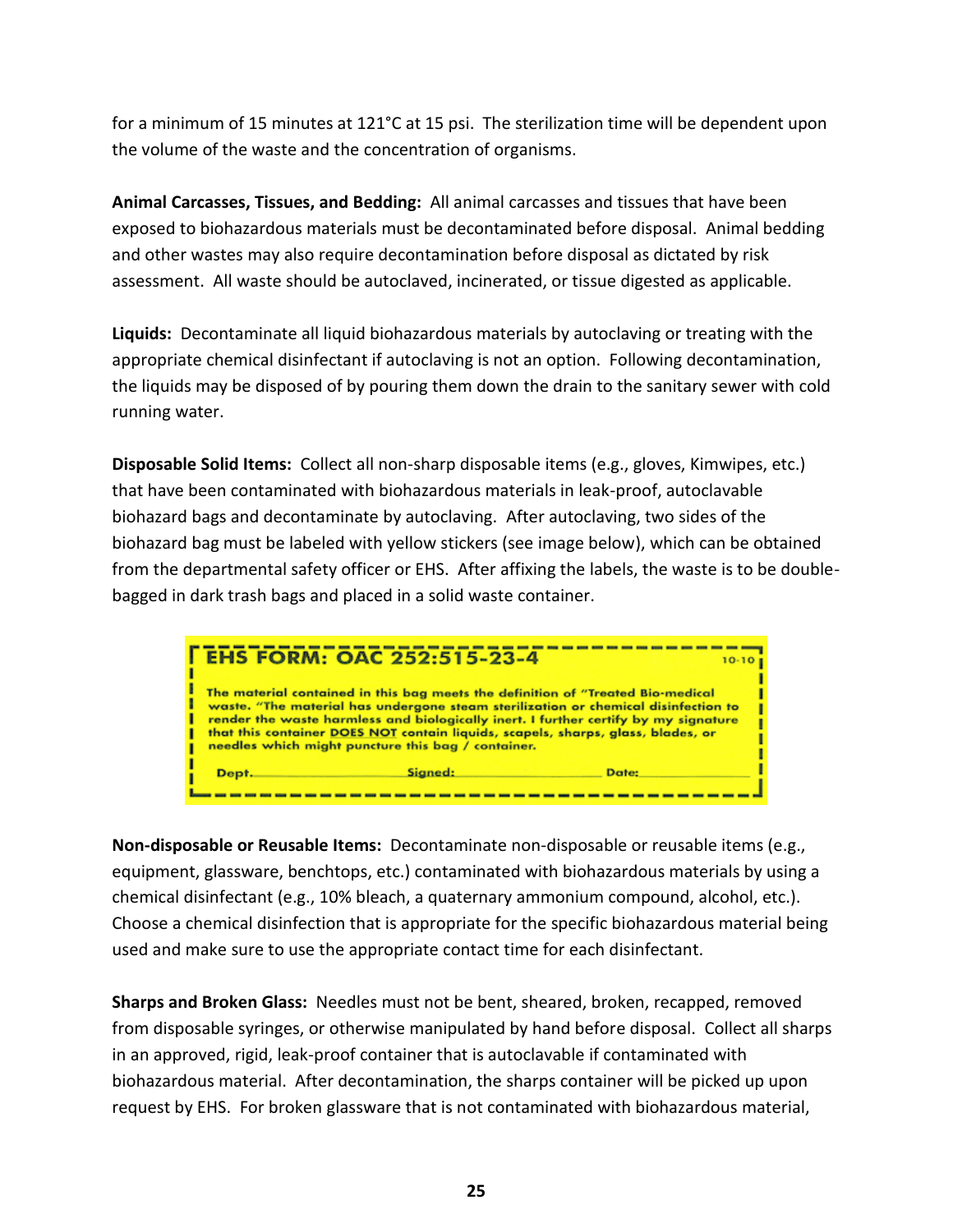for a minimum of 15 minutes at 121°C at 15 psi. The sterilization time will be dependent upon the volume of the waste and the concentration of organisms.

**Animal Carcasses, Tissues, and Bedding:** All animal carcasses and tissues that have been exposed to biohazardous materials must be decontaminated before disposal. Animal bedding and other wastes may also require decontamination before disposal as dictated by risk assessment. All waste should be autoclaved, incinerated, or tissue digested as applicable.

**Liquids:** Decontaminate all liquid biohazardous materials by autoclaving or treating with the appropriate chemical disinfectant if autoclaving is not an option. Following decontamination, the liquids may be disposed of by pouring them down the drain to the sanitary sewer with cold running water.

**Disposable Solid Items:** Collect all non-sharp disposable items (e.g., gloves, Kimwipes, etc.) that have been contaminated with biohazardous materials in leak-proof, autoclavable biohazard bags and decontaminate by autoclaving. After autoclaving, two sides of the biohazard bag must be labeled with yellow stickers (see image below), which can be obtained from the departmental safety officer or EHS. After affixing the labels, the waste is to be doublebagged in dark trash bags and placed in a solid waste container.



**Non-disposable or Reusable Items:** Decontaminate non-disposable or reusable items (e.g., equipment, glassware, benchtops, etc.) contaminated with biohazardous materials by using a chemical disinfectant (e.g., 10% bleach, a quaternary ammonium compound, alcohol, etc.). Choose a chemical disinfection that is appropriate for the specific biohazardous material being used and make sure to use the appropriate contact time for each disinfectant.

**Sharps and Broken Glass:** Needles must not be bent, sheared, broken, recapped, removed from disposable syringes, or otherwise manipulated by hand before disposal. Collect all sharps in an approved, rigid, leak-proof container that is autoclavable if contaminated with biohazardous material. After decontamination, the sharps container will be picked up upon request by EHS. For broken glassware that is not contaminated with biohazardous material,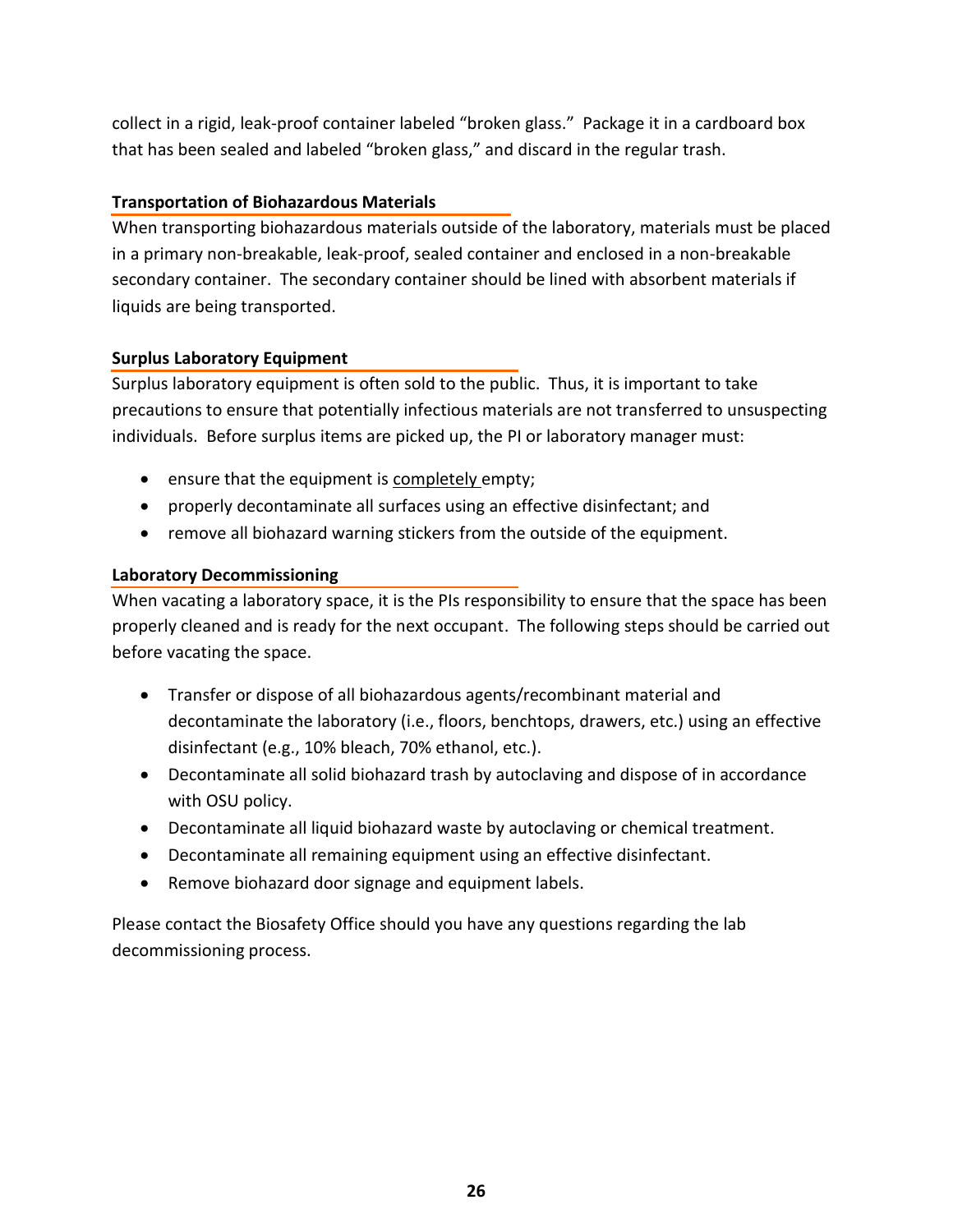collect in a rigid, leak-proof container labeled "broken glass." Package it in a cardboard box that has been sealed and labeled "broken glass," and discard in the regular trash.

# **Transportation of Biohazardous Materials**

When transporting biohazardous materials outside of the laboratory, materials must be placed in a primary non-breakable, leak-proof, sealed container and enclosed in a non-breakable secondary container. The secondary container should be lined with absorbent materials if liquids are being transported.

# **Surplus Laboratory Equipment**

Surplus laboratory equipment is often sold to the public. Thus, it is important to take precautions to ensure that potentially infectious materials are not transferred to unsuspecting individuals. Before surplus items are picked up, the PI or laboratory manager must:

- **•** ensure that the equipment is completely empty;
- properly decontaminate all surfaces using an effective disinfectant; and
- remove all biohazard warning stickers from the outside of the equipment.

# **Laboratory Decommissioning**

When vacating a laboratory space, it is the PIs responsibility to ensure that the space has been properly cleaned and is ready for the next occupant. The following steps should be carried out before vacating the space.

- Transfer or dispose of all biohazardous agents/recombinant material and decontaminate the laboratory (i.e., floors, benchtops, drawers, etc.) using an effective disinfectant (e.g., 10% bleach, 70% ethanol, etc.).
- Decontaminate all solid biohazard trash by autoclaving and dispose of in accordance with OSU policy.
- Decontaminate all liquid biohazard waste by autoclaving or chemical treatment.
- Decontaminate all remaining equipment using an effective disinfectant.
- Remove biohazard door signage and equipment labels.

Please contact the Biosafety Office should you have any questions regarding the lab decommissioning process.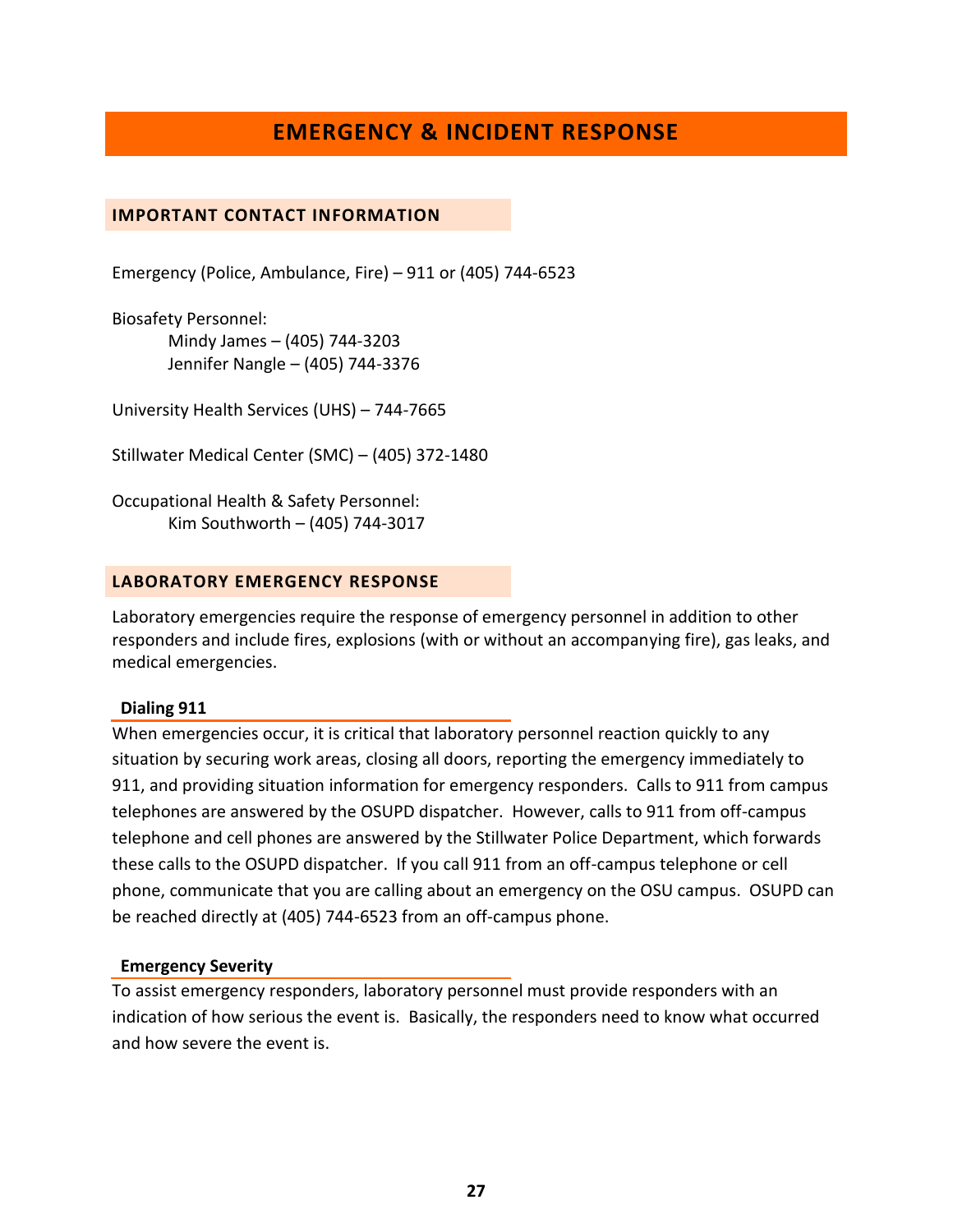# **EMERGENCY & INCIDENT RESPONSE**

## <span id="page-26-1"></span><span id="page-26-0"></span>**IMPORTANT CONTACT INFORMATION**

Emergency (Police, Ambulance, Fire) – 911 or (405) 744-6523

Biosafety Personnel: Mindy James – (405) 744-3203 Jennifer Nangle – (405) 744-3376

University Health Services (UHS) – 744-7665

Stillwater Medical Center (SMC) – (405) 372-1480

Occupational Health & Safety Personnel: Kim Southworth – (405) 744-3017

## <span id="page-26-2"></span>**LABORATORY EMERGENCY RESPONSE**

Laboratory emergencies require the response of emergency personnel in addition to other responders and include fires, explosions (with or without an accompanying fire), gas leaks, and medical emergencies.

#### **Dialing 911**

When emergencies occur, it is critical that laboratory personnel reaction quickly to any situation by securing work areas, closing all doors, reporting the emergency immediately to 911, and providing situation information for emergency responders. Calls to 911 from campus telephones are answered by the OSUPD dispatcher. However, calls to 911 from off-campus telephone and cell phones are answered by the Stillwater Police Department, which forwards these calls to the OSUPD dispatcher. If you call 911 from an off-campus telephone or cell phone, communicate that you are calling about an emergency on the OSU campus. OSUPD can be reached directly at (405) 744-6523 from an off-campus phone.

#### **Emergency Severity**

To assist emergency responders, laboratory personnel must provide responders with an indication of how serious the event is. Basically, the responders need to know what occurred and how severe the event is.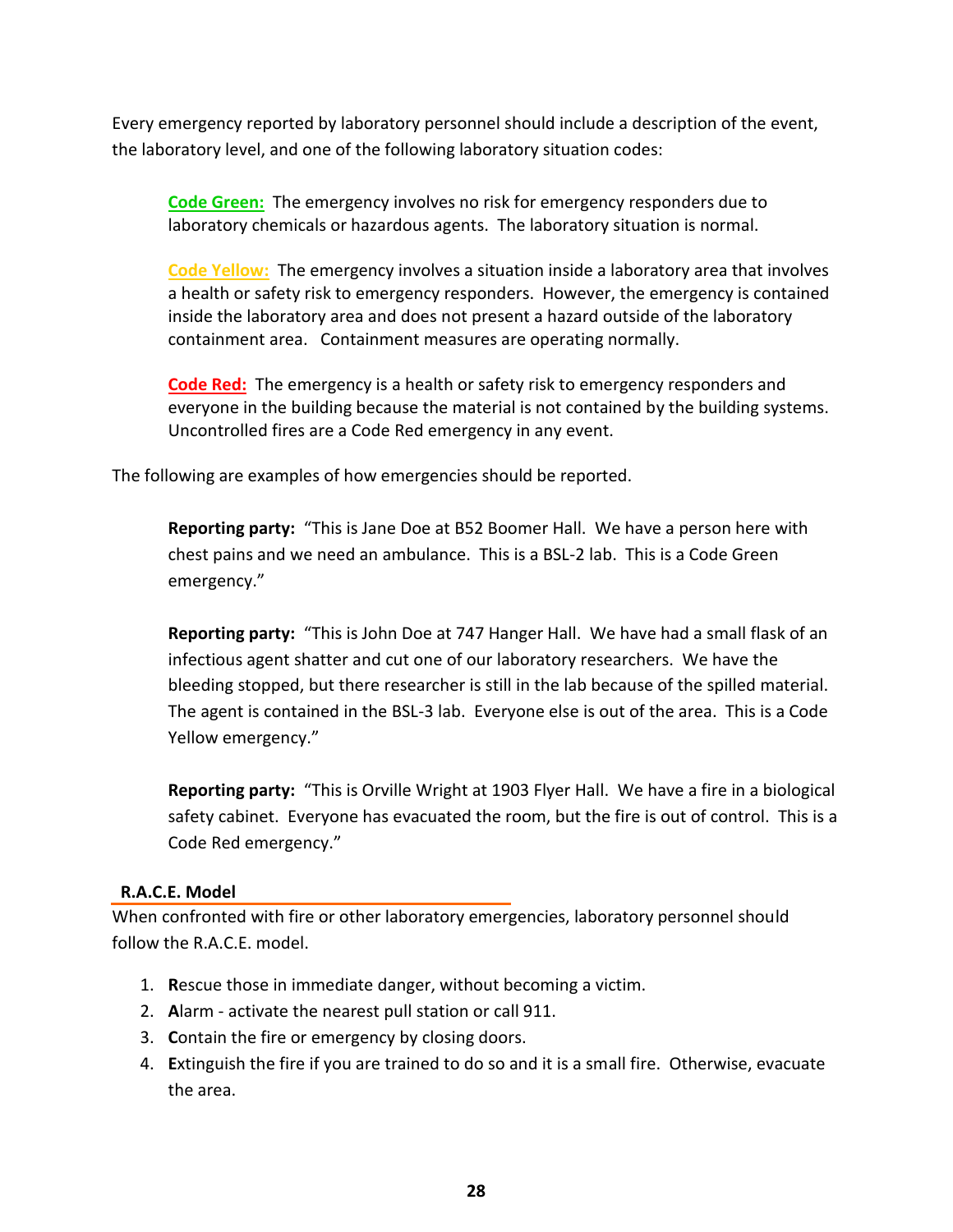Every emergency reported by laboratory personnel should include a description of the event, the laboratory level, and one of the following laboratory situation codes:

**Code Green:** The emergency involves no risk for emergency responders due to laboratory chemicals or hazardous agents. The laboratory situation is normal.

**Code Yellow:** The emergency involves a situation inside a laboratory area that involves a health or safety risk to emergency responders. However, the emergency is contained inside the laboratory area and does not present a hazard outside of the laboratory containment area. Containment measures are operating normally.

**Code Red:** The emergency is a health or safety risk to emergency responders and everyone in the building because the material is not contained by the building systems. Uncontrolled fires are a Code Red emergency in any event.

The following are examples of how emergencies should be reported.

**Reporting party:** "This is Jane Doe at B52 Boomer Hall. We have a person here with chest pains and we need an ambulance. This is a BSL-2 lab. This is a Code Green emergency."

**Reporting party:** "This is John Doe at 747 Hanger Hall. We have had a small flask of an infectious agent shatter and cut one of our laboratory researchers. We have the bleeding stopped, but there researcher is still in the lab because of the spilled material. The agent is contained in the BSL-3 lab. Everyone else is out of the area. This is a Code Yellow emergency."

**Reporting party:** "This is Orville Wright at 1903 Flyer Hall. We have a fire in a biological safety cabinet. Everyone has evacuated the room, but the fire is out of control. This is a Code Red emergency."

# **R.A.C.E. Model**

When confronted with fire or other laboratory emergencies, laboratory personnel should follow the R.A.C.E. model.

- 1. **R**escue those in immediate danger, without becoming a victim.
- 2. **A**larm activate the nearest pull station or call 911.
- 3. **C**ontain the fire or emergency by closing doors.
- 4. **E**xtinguish the fire if you are trained to do so and it is a small fire. Otherwise, evacuate the area.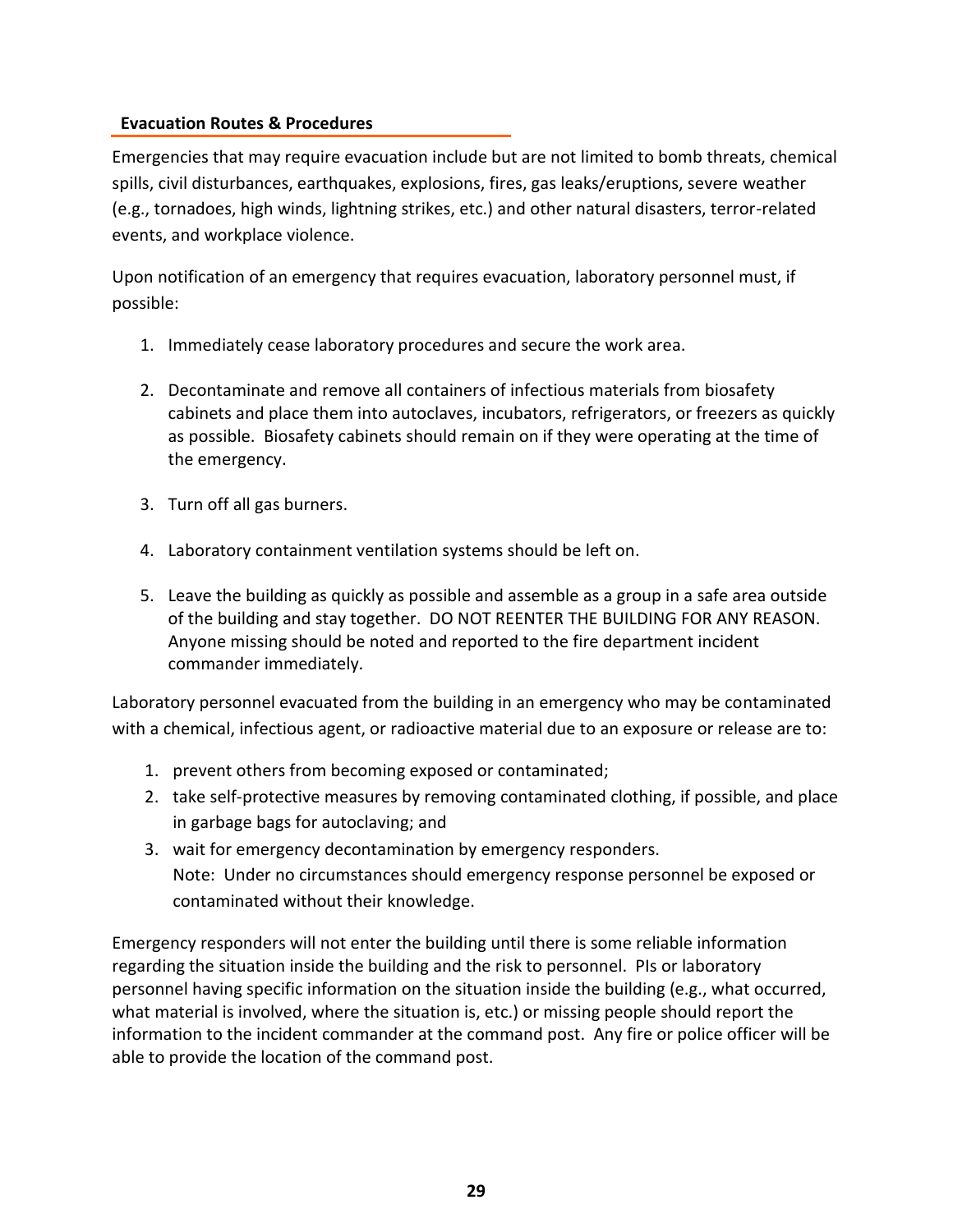# **Evacuation Routes & Procedures**

Emergencies that may require evacuation include but are not limited to bomb threats, chemical spills, civil disturbances, earthquakes, explosions, fires, gas leaks/eruptions, severe weather (e.g., tornadoes, high winds, lightning strikes, etc.) and other natural disasters, terror-related events, and workplace violence.

Upon notification of an emergency that requires evacuation, laboratory personnel must, if possible:

- 1. Immediately cease laboratory procedures and secure the work area.
- 2. Decontaminate and remove all containers of infectious materials from biosafety cabinets and place them into autoclaves, incubators, refrigerators, or freezers as quickly as possible. Biosafety cabinets should remain on if they were operating at the time of the emergency.
- 3. Turn off all gas burners.
- 4. Laboratory containment ventilation systems should be left on.
- 5. Leave the building as quickly as possible and assemble as a group in a safe area outside of the building and stay together. DO NOT REENTER THE BUILDING FOR ANY REASON. Anyone missing should be noted and reported to the fire department incident commander immediately.

Laboratory personnel evacuated from the building in an emergency who may be contaminated with a chemical, infectious agent, or radioactive material due to an exposure or release are to:

- 1. prevent others from becoming exposed or contaminated;
- 2. take self-protective measures by removing contaminated clothing, if possible, and place in garbage bags for autoclaving; and
- 3. wait for emergency decontamination by emergency responders. Note: Under no circumstances should emergency response personnel be exposed or contaminated without their knowledge.

Emergency responders will not enter the building until there is some reliable information regarding the situation inside the building and the risk to personnel. PIs or laboratory personnel having specific information on the situation inside the building (e.g., what occurred, what material is involved, where the situation is, etc.) or missing people should report the information to the incident commander at the command post. Any fire or police officer will be able to provide the location of the command post.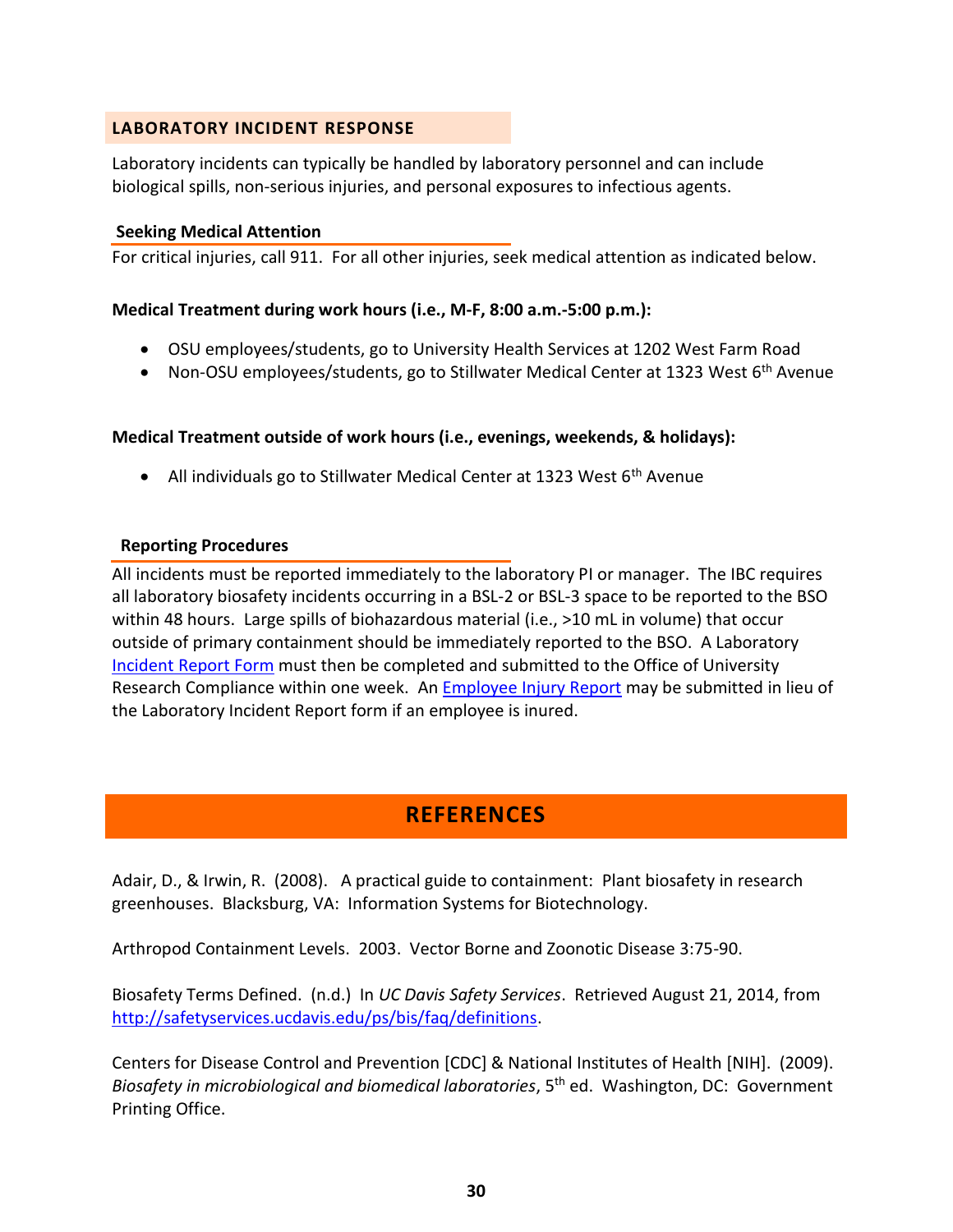## <span id="page-29-0"></span>**LABORATORY INCIDENT RESPONSE**

Laboratory incidents can typically be handled by laboratory personnel and can include biological spills, non-serious injuries, and personal exposures to infectious agents.

## **Seeking Medical Attention**

For critical injuries, call 911. For all other injuries, seek medical attention as indicated below.

## **Medical Treatment during work hours (i.e., M-F, 8:00 a.m.-5:00 p.m.):**

- OSU employees/students, go to University Health Services at 1202 West Farm Road
- Non-OSU employees/students, go to Stillwater Medical Center at 1323 West 6<sup>th</sup> Avenue

## **Medical Treatment outside of work hours (i.e., evenings, weekends, & holidays):**

• All individuals go to Stillwater Medical Center at 1323 West  $6<sup>th</sup>$  Avenue

## **Reporting Procedures**

All incidents must be reported immediately to the laboratory PI or manager. The IBC requires all laboratory biosafety incidents occurring in a BSL-2 or BSL-3 space to be reported to the BSO within 48 hours. Large spills of biohazardous material (i.e., >10 mL in volume) that occur outside of primary containment should be immediately reported to the BSO. A Laboratory [Incident Report Form](http://compliance.okstate.edu/ibc/forms) must then be completed and submitted to the Office of University Research Compliance within one week. An [Employee Injury Report](https://hr.okstate.edu/sites/default/files/docfiles/WCEmployeeInjuryReport.pdf) may be submitted in lieu of the Laboratory Incident Report form if an employee is inured.

# **REFERENCES**

<span id="page-29-1"></span>Adair, D., & Irwin, R. (2008). A practical guide to containment: Plant biosafety in research greenhouses. Blacksburg, VA: Information Systems for Biotechnology.

Arthropod Containment Levels. 2003. Vector Borne and Zoonotic Disease 3:75-90.

Biosafety Terms Defined. (n.d.) In *UC Davis Safety Services*. Retrieved August 21, 2014, from [http://safetyservices.ucdavis.edu/ps/bis/faq/definitions.](http://safetyservices.ucdavis.edu/ps/bis/faq/definitions)

Centers for Disease Control and Prevention [CDC] & National Institutes of Health [NIH]. (2009). *Biosafety in microbiological and biomedical laboratories*, 5th ed. Washington, DC: Government Printing Office.